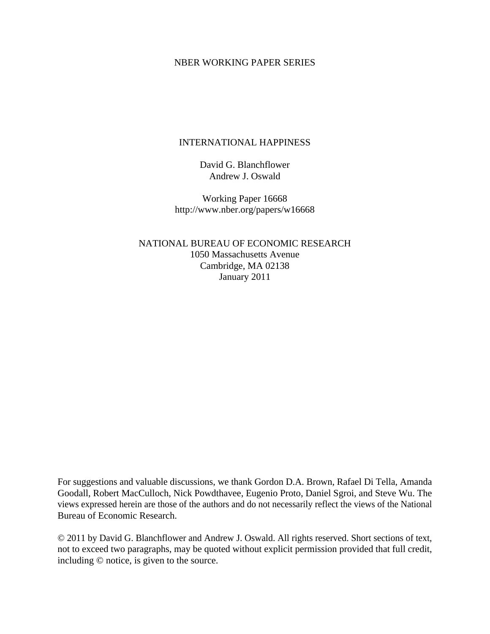# NBER WORKING PAPER SERIES

# INTERNATIONAL HAPPINESS

David G. Blanchflower Andrew J. Oswald

Working Paper 16668 http://www.nber.org/papers/w16668

NATIONAL BUREAU OF ECONOMIC RESEARCH 1050 Massachusetts Avenue Cambridge, MA 02138 January 2011

For suggestions and valuable discussions, we thank Gordon D.A. Brown, Rafael Di Tella, Amanda Goodall, Robert MacCulloch, Nick Powdthavee, Eugenio Proto, Daniel Sgroi, and Steve Wu. The views expressed herein are those of the authors and do not necessarily reflect the views of the National Bureau of Economic Research.

© 2011 by David G. Blanchflower and Andrew J. Oswald. All rights reserved. Short sections of text, not to exceed two paragraphs, may be quoted without explicit permission provided that full credit, including © notice, is given to the source.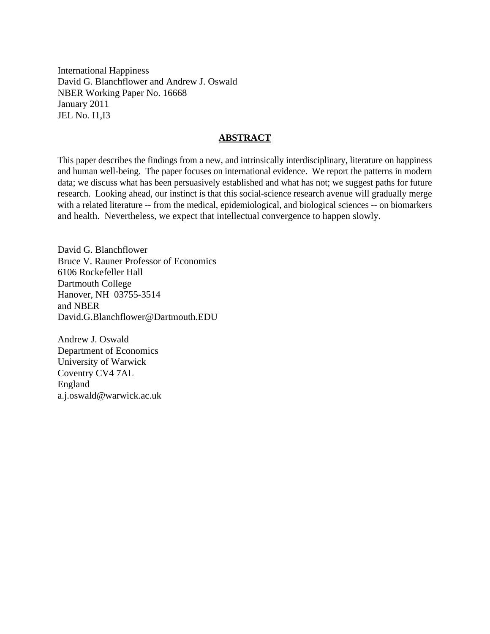International Happiness David G. Blanchflower and Andrew J. Oswald NBER Working Paper No. 16668 January 2011 JEL No. I1,I3

# **ABSTRACT**

This paper describes the findings from a new, and intrinsically interdisciplinary, literature on happiness and human well-being. The paper focuses on international evidence. We report the patterns in modern data; we discuss what has been persuasively established and what has not; we suggest paths for future research. Looking ahead, our instinct is that this social-science research avenue will gradually merge with a related literature -- from the medical, epidemiological, and biological sciences -- on biomarkers and health. Nevertheless, we expect that intellectual convergence to happen slowly.

David G. Blanchflower Bruce V. Rauner Professor of Economics 6106 Rockefeller Hall Dartmouth College Hanover, NH 03755-3514 and NBER David.G.Blanchflower@Dartmouth.EDU

Andrew J. Oswald Department of Economics University of Warwick Coventry CV4 7AL England a.j.oswald@warwick.ac.uk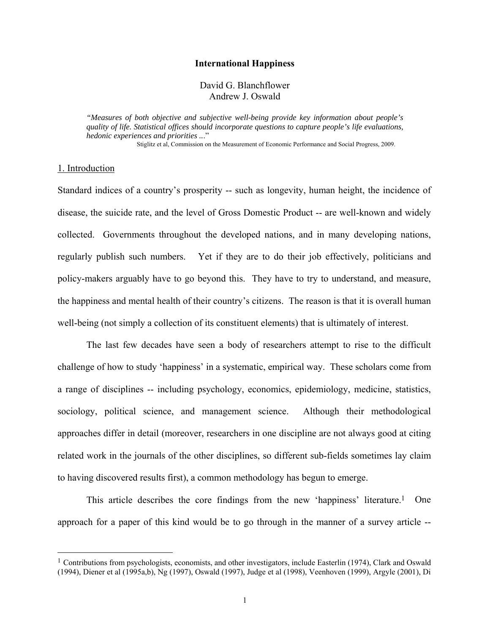## **International Happiness**

# David G. Blanchflower Andrew J. Oswald

*"Measures of both objective and subjective well-being provide key information about people's quality of life. Statistical offices should incorporate questions to capture people's life evaluations, hedonic experiences and priorities ..*." Stiglitz et al, Commission on the Measurement of Economic Performance and Social Progress, 2009.

1. Introduction

1

Standard indices of a country's prosperity -- such as longevity, human height, the incidence of disease, the suicide rate, and the level of Gross Domestic Product -- are well-known and widely collected. Governments throughout the developed nations, and in many developing nations, regularly publish such numbers. Yet if they are to do their job effectively, politicians and policy-makers arguably have to go beyond this. They have to try to understand, and measure, the happiness and mental health of their country's citizens. The reason is that it is overall human well-being (not simply a collection of its constituent elements) that is ultimately of interest.

The last few decades have seen a body of researchers attempt to rise to the difficult challenge of how to study 'happiness' in a systematic, empirical way. These scholars come from a range of disciplines -- including psychology, economics, epidemiology, medicine, statistics, sociology, political science, and management science. Although their methodological approaches differ in detail (moreover, researchers in one discipline are not always good at citing related work in the journals of the other disciplines, so different sub-fields sometimes lay claim to having discovered results first), a common methodology has begun to emerge.

This article describes the core findings from the new 'happiness' literature.1 One approach for a paper of this kind would be to go through in the manner of a survey article --

<sup>&</sup>lt;sup>1</sup> Contributions from psychologists, economists, and other investigators, include Easterlin (1974), Clark and Oswald (1994), Diener et al (1995a,b), Ng (1997), Oswald (1997), Judge et al (1998), Veenhoven (1999), Argyle (2001), Di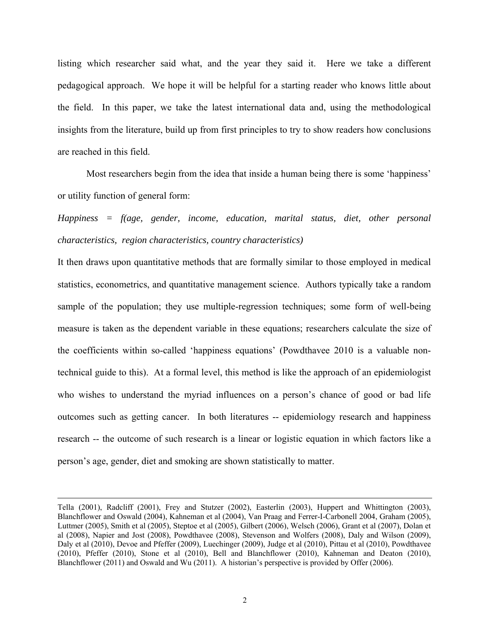listing which researcher said what, and the year they said it. Here we take a different pedagogical approach. We hope it will be helpful for a starting reader who knows little about the field. In this paper, we take the latest international data and, using the methodological insights from the literature, build up from first principles to try to show readers how conclusions are reached in this field.

Most researchers begin from the idea that inside a human being there is some 'happiness' or utility function of general form:

*Happiness = f(age, gender, income, education, marital status, diet, other personal characteristics, region characteristics, country characteristics)* 

It then draws upon quantitative methods that are formally similar to those employed in medical statistics, econometrics, and quantitative management science. Authors typically take a random sample of the population; they use multiple-regression techniques; some form of well-being measure is taken as the dependent variable in these equations; researchers calculate the size of the coefficients within so-called 'happiness equations' (Powdthavee 2010 is a valuable nontechnical guide to this). At a formal level, this method is like the approach of an epidemiologist who wishes to understand the myriad influences on a person's chance of good or bad life outcomes such as getting cancer. In both literatures -- epidemiology research and happiness research -- the outcome of such research is a linear or logistic equation in which factors like a person's age, gender, diet and smoking are shown statistically to matter.

Tella (2001), Radcliff (2001), Frey and Stutzer (2002), Easterlin (2003), Huppert and Whittington (2003), Blanchflower and Oswald (2004), Kahneman et al (2004), Van Praag and Ferrer-I-Carbonell 2004, Graham (2005), Luttmer (2005), Smith et al (2005), Steptoe et al (2005), Gilbert (2006), Welsch (2006), Grant et al (2007), Dolan et al (2008), Napier and Jost (2008), Powdthavee (2008), Stevenson and Wolfers (2008), Daly and Wilson (2009), Daly et al (2010), Devoe and Pfeffer (2009), Luechinger (2009), Judge et al (2010), Pittau et al (2010), Powdthavee (2010), Pfeffer (2010), Stone et al (2010), Bell and Blanchflower (2010), Kahneman and Deaton (2010), Blanchflower (2011) and Oswald and Wu (2011). A historian's perspective is provided by Offer (2006).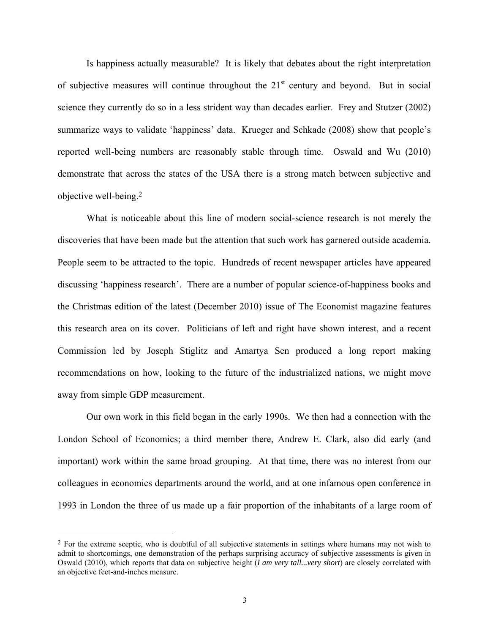Is happiness actually measurable? It is likely that debates about the right interpretation of subjective measures will continue throughout the  $21<sup>st</sup>$  century and beyond. But in social science they currently do so in a less strident way than decades earlier. Frey and Stutzer (2002) summarize ways to validate 'happiness' data. Krueger and Schkade (2008) show that people's reported well-being numbers are reasonably stable through time. Oswald and Wu (2010) demonstrate that across the states of the USA there is a strong match between subjective and objective well-being.2

What is noticeable about this line of modern social-science research is not merely the discoveries that have been made but the attention that such work has garnered outside academia. People seem to be attracted to the topic. Hundreds of recent newspaper articles have appeared discussing 'happiness research'. There are a number of popular science-of-happiness books and the Christmas edition of the latest (December 2010) issue of The Economist magazine features this research area on its cover. Politicians of left and right have shown interest, and a recent Commission led by Joseph Stiglitz and Amartya Sen produced a long report making recommendations on how, looking to the future of the industrialized nations, we might move away from simple GDP measurement.

Our own work in this field began in the early 1990s. We then had a connection with the London School of Economics; a third member there, Andrew E. Clark, also did early (and important) work within the same broad grouping. At that time, there was no interest from our colleagues in economics departments around the world, and at one infamous open conference in 1993 in London the three of us made up a fair proportion of the inhabitants of a large room of

 $\overline{a}$ 

<sup>&</sup>lt;sup>2</sup> For the extreme sceptic, who is doubtful of all subjective statements in settings where humans may not wish to admit to shortcomings, one demonstration of the perhaps surprising accuracy of subjective assessments is given in Oswald (2010), which reports that data on subjective height (*I am very tall...very short*) are closely correlated with an objective feet-and-inches measure.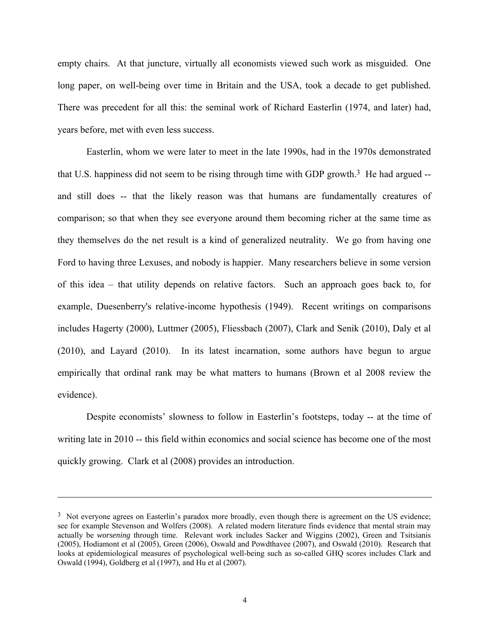empty chairs. At that juncture, virtually all economists viewed such work as misguided. One long paper, on well-being over time in Britain and the USA, took a decade to get published. There was precedent for all this: the seminal work of Richard Easterlin (1974, and later) had, years before, met with even less success.

Easterlin, whom we were later to meet in the late 1990s, had in the 1970s demonstrated that U.S. happiness did not seem to be rising through time with GDP growth.<sup>3</sup> He had argued  $$ and still does -- that the likely reason was that humans are fundamentally creatures of comparison; so that when they see everyone around them becoming richer at the same time as they themselves do the net result is a kind of generalized neutrality. We go from having one Ford to having three Lexuses, and nobody is happier. Many researchers believe in some version of this idea – that utility depends on relative factors. Such an approach goes back to, for example, Duesenberry's relative-income hypothesis (1949). Recent writings on comparisons includes Hagerty (2000), Luttmer (2005), Fliessbach (2007), Clark and Senik (2010), Daly et al (2010), and Layard (2010). In its latest incarnation, some authors have begun to argue empirically that ordinal rank may be what matters to humans (Brown et al 2008 review the evidence).

Despite economists' slowness to follow in Easterlin's footsteps, today -- at the time of writing late in 2010 -- this field within economics and social science has become one of the most quickly growing. Clark et al (2008) provides an introduction.

 $\overline{a}$ 

<sup>&</sup>lt;sup>3</sup> Not everyone agrees on Easterlin's paradox more broadly, even though there is agreement on the US evidence; see for example Stevenson and Wolfers (2008). A related modern literature finds evidence that mental strain may actually be *worsening* through time. Relevant work includes Sacker and Wiggins (2002), Green and Tsitsianis (2005), Hodiamont et al (2005), Green (2006), Oswald and Powdthavee (2007), and Oswald (2010). Research that looks at epidemiological measures of psychological well-being such as so-called GHQ scores includes Clark and Oswald (1994), Goldberg et al (1997), and Hu et al (2007).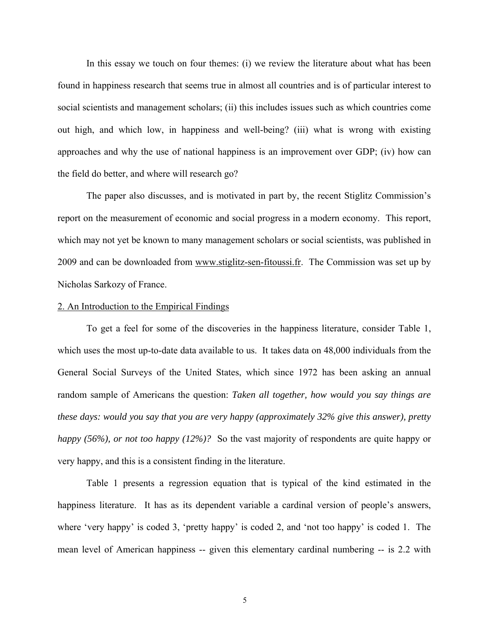In this essay we touch on four themes: (i) we review the literature about what has been found in happiness research that seems true in almost all countries and is of particular interest to social scientists and management scholars; (ii) this includes issues such as which countries come out high, and which low, in happiness and well-being? (iii) what is wrong with existing approaches and why the use of national happiness is an improvement over GDP; (iv) how can the field do better, and where will research go?

The paper also discusses, and is motivated in part by, the recent Stiglitz Commission's report on the measurement of economic and social progress in a modern economy. This report, which may not yet be known to many management scholars or social scientists, was published in 2009 and can be downloaded from www.stiglitz-sen-fitoussi.fr. The Commission was set up by Nicholas Sarkozy of France.

### 2. An Introduction to the Empirical Findings

To get a feel for some of the discoveries in the happiness literature, consider Table 1, which uses the most up-to-date data available to us. It takes data on 48,000 individuals from the General Social Surveys of the United States, which since 1972 has been asking an annual random sample of Americans the question: *Taken all together, how would you say things are these days: would you say that you are very happy (approximately 32% give this answer), pretty happy (56%), or not too happy (12%)?* So the vast majority of respondents are quite happy or very happy, and this is a consistent finding in the literature.

Table 1 presents a regression equation that is typical of the kind estimated in the happiness literature. It has as its dependent variable a cardinal version of people's answers, where 'very happy' is coded 3, 'pretty happy' is coded 2, and 'not too happy' is coded 1. The mean level of American happiness -- given this elementary cardinal numbering -- is 2.2 with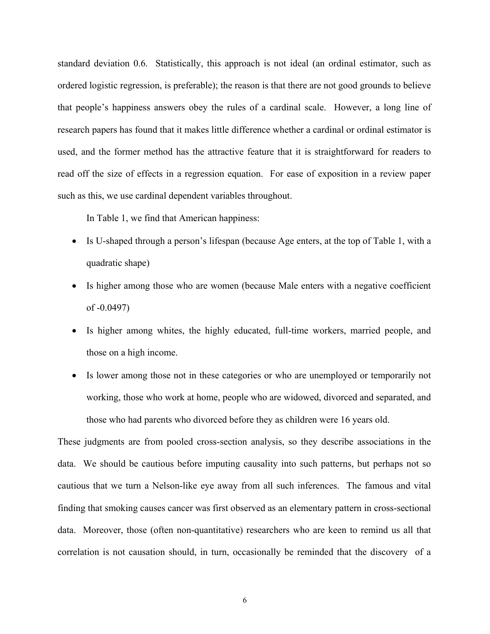standard deviation 0.6. Statistically, this approach is not ideal (an ordinal estimator, such as ordered logistic regression, is preferable); the reason is that there are not good grounds to believe that people's happiness answers obey the rules of a cardinal scale. However, a long line of research papers has found that it makes little difference whether a cardinal or ordinal estimator is used, and the former method has the attractive feature that it is straightforward for readers to read off the size of effects in a regression equation. For ease of exposition in a review paper such as this, we use cardinal dependent variables throughout.

In Table 1, we find that American happiness:

- Is U-shaped through a person's lifespan (because Age enters, at the top of Table 1, with a quadratic shape)
- Is higher among those who are women (because Male enters with a negative coefficient of -0.0497)
- Is higher among whites, the highly educated, full-time workers, married people, and those on a high income.
- Is lower among those not in these categories or who are unemployed or temporarily not working, those who work at home, people who are widowed, divorced and separated, and those who had parents who divorced before they as children were 16 years old.

These judgments are from pooled cross-section analysis, so they describe associations in the data. We should be cautious before imputing causality into such patterns, but perhaps not so cautious that we turn a Nelson-like eye away from all such inferences. The famous and vital finding that smoking causes cancer was first observed as an elementary pattern in cross-sectional data. Moreover, those (often non-quantitative) researchers who are keen to remind us all that correlation is not causation should, in turn, occasionally be reminded that the discovery of a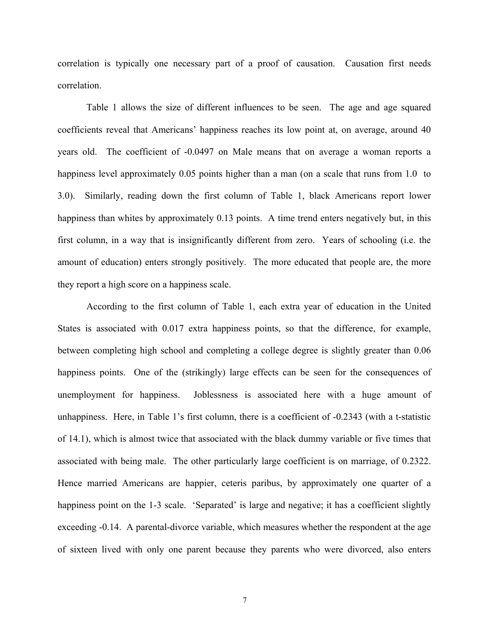correlation is typically one necessary part of a proof of causation. Causation first needs correlation.

Table 1 allows the size of different influences to be seen. The age and age squared coefficients reveal that Americans' happiness reaches its low point at, on average, around 40 years old. The coefficient of -0.0497 on Male means that on average a woman reports a happiness level approximately 0.05 points higher than a man (on a scale that runs from 1.0 to 3.0). Similarly, reading down the first column of Table 1, black Americans report lower happiness than whites by approximately 0.13 points. A time trend enters negatively but, in this first column, in a way that is insignificantly different from zero. Years of schooling (i.e. the amount of education) enters strongly positively. The more educated that people are, the more they report a high score on a happiness scale.

According to the first column of Table 1, each extra year of education in the United States is associated with 0.017 extra happiness points, so that the difference, for example, between completing high school and completing a college degree is slightly greater than 0.06 happiness points. One of the (strikingly) large effects can be seen for the consequences of unemployment for happiness. Joblessness is associated here with a huge amount of unhappiness. Here, in Table 1's first column, there is a coefficient of -0.2343 (with a t-statistic of 14.1), which is almost twice that associated with the black dummy variable or five times that associated with being male. The other particularly large coefficient is on marriage, of 0.2322. Hence married Americans are happier, ceteris paribus, by approximately one quarter of a happiness point on the 1-3 scale. 'Separated' is large and negative; it has a coefficient slightly exceeding -0.14. A parental-divorce variable, which measures whether the respondent at the age of sixteen lived with only one parent because they parents who were divorced, also enters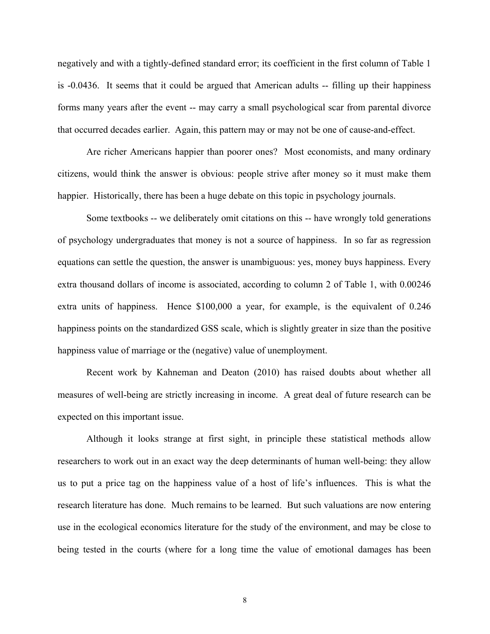negatively and with a tightly-defined standard error; its coefficient in the first column of Table 1 is -0.0436. It seems that it could be argued that American adults -- filling up their happiness forms many years after the event -- may carry a small psychological scar from parental divorce that occurred decades earlier. Again, this pattern may or may not be one of cause-and-effect.

 Are richer Americans happier than poorer ones? Most economists, and many ordinary citizens, would think the answer is obvious: people strive after money so it must make them happier. Historically, there has been a huge debate on this topic in psychology journals.

Some textbooks -- we deliberately omit citations on this -- have wrongly told generations of psychology undergraduates that money is not a source of happiness. In so far as regression equations can settle the question, the answer is unambiguous: yes, money buys happiness. Every extra thousand dollars of income is associated, according to column 2 of Table 1, with 0.00246 extra units of happiness. Hence \$100,000 a year, for example, is the equivalent of 0.246 happiness points on the standardized GSS scale, which is slightly greater in size than the positive happiness value of marriage or the (negative) value of unemployment.

Recent work by Kahneman and Deaton (2010) has raised doubts about whether all measures of well-being are strictly increasing in income. A great deal of future research can be expected on this important issue.

Although it looks strange at first sight, in principle these statistical methods allow researchers to work out in an exact way the deep determinants of human well-being: they allow us to put a price tag on the happiness value of a host of life's influences. This is what the research literature has done. Much remains to be learned. But such valuations are now entering use in the ecological economics literature for the study of the environment, and may be close to being tested in the courts (where for a long time the value of emotional damages has been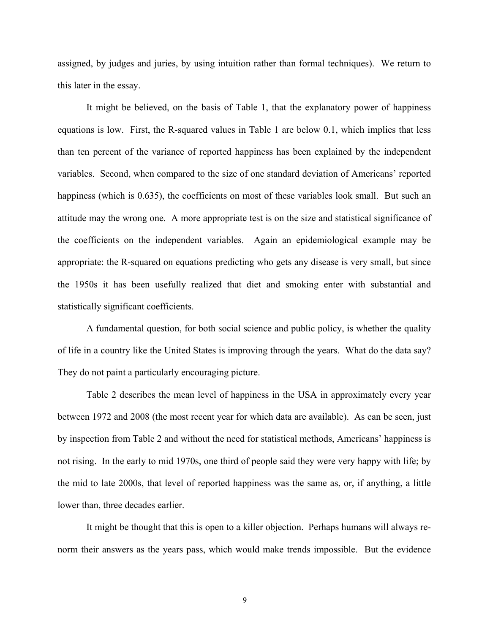assigned, by judges and juries, by using intuition rather than formal techniques). We return to this later in the essay.

It might be believed, on the basis of Table 1, that the explanatory power of happiness equations is low. First, the R-squared values in Table 1 are below 0.1, which implies that less than ten percent of the variance of reported happiness has been explained by the independent variables. Second, when compared to the size of one standard deviation of Americans' reported happiness (which is 0.635), the coefficients on most of these variables look small. But such an attitude may the wrong one. A more appropriate test is on the size and statistical significance of the coefficients on the independent variables. Again an epidemiological example may be appropriate: the R-squared on equations predicting who gets any disease is very small, but since the 1950s it has been usefully realized that diet and smoking enter with substantial and statistically significant coefficients.

A fundamental question, for both social science and public policy, is whether the quality of life in a country like the United States is improving through the years. What do the data say? They do not paint a particularly encouraging picture.

Table 2 describes the mean level of happiness in the USA in approximately every year between 1972 and 2008 (the most recent year for which data are available). As can be seen, just by inspection from Table 2 and without the need for statistical methods, Americans' happiness is not rising. In the early to mid 1970s, one third of people said they were very happy with life; by the mid to late 2000s, that level of reported happiness was the same as, or, if anything, a little lower than, three decades earlier.

It might be thought that this is open to a killer objection. Perhaps humans will always renorm their answers as the years pass, which would make trends impossible. But the evidence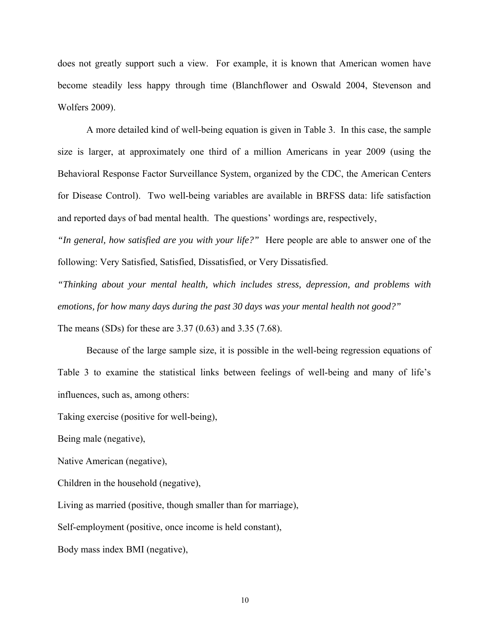does not greatly support such a view. For example, it is known that American women have become steadily less happy through time (Blanchflower and Oswald 2004, Stevenson and Wolfers 2009).

A more detailed kind of well-being equation is given in Table 3. In this case, the sample size is larger, at approximately one third of a million Americans in year 2009 (using the Behavioral Response Factor Surveillance System, organized by the CDC, the American Centers for Disease Control). Two well-being variables are available in BRFSS data: life satisfaction and reported days of bad mental health. The questions' wordings are, respectively,

*"In general, how satisfied are you with your life?"* Here people are able to answer one of the following: Very Satisfied, Satisfied, Dissatisfied, or Very Dissatisfied.

*"Thinking about your mental health, which includes stress, depression, and problems with emotions, for how many days during the past 30 days was your mental health not good?"*

The means (SDs) for these are 3.37 (0.63) and 3.35 (7.68).

Because of the large sample size, it is possible in the well-being regression equations of Table 3 to examine the statistical links between feelings of well-being and many of life's influences, such as, among others:

Taking exercise (positive for well-being),

Being male (negative),

Native American (negative),

Children in the household (negative),

Living as married (positive, though smaller than for marriage),

Self-employment (positive, once income is held constant),

Body mass index BMI (negative),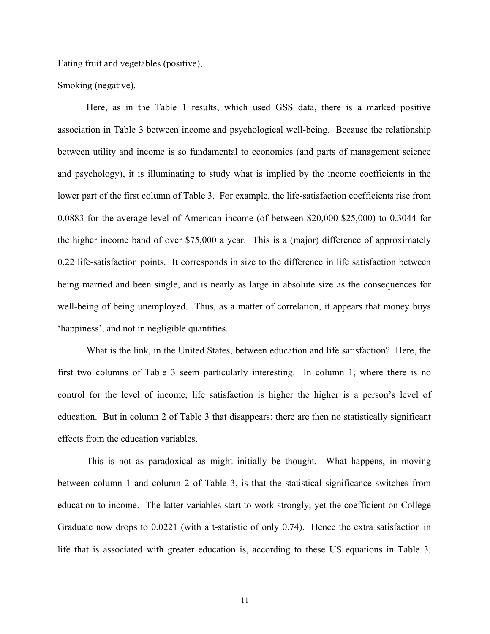Eating fruit and vegetables (positive),

Smoking (negative).

Here, as in the Table 1 results, which used GSS data, there is a marked positive association in Table 3 between income and psychological well-being. Because the relationship between utility and income is so fundamental to economics (and parts of management science and psychology), it is illuminating to study what is implied by the income coefficients in the lower part of the first column of Table 3. For example, the life-satisfaction coefficients rise from 0.0883 for the average level of American income (of between \$20,000-\$25,000) to 0.3044 for the higher income band of over \$75,000 a year. This is a (major) difference of approximately 0.22 life-satisfaction points. It corresponds in size to the difference in life satisfaction between being married and been single, and is nearly as large in absolute size as the consequences for well-being of being unemployed. Thus, as a matter of correlation, it appears that money buys 'happiness', and not in negligible quantities.

What is the link, in the United States, between education and life satisfaction? Here, the first two columns of Table 3 seem particularly interesting. In column 1, where there is no control for the level of income, life satisfaction is higher the higher is a person's level of education. But in column 2 of Table 3 that disappears: there are then no statistically significant effects from the education variables.

This is not as paradoxical as might initially be thought. What happens, in moving between column 1 and column 2 of Table 3, is that the statistical significance switches from education to income. The latter variables start to work strongly; yet the coefficient on College Graduate now drops to 0.0221 (with a t-statistic of only 0.74). Hence the extra satisfaction in life that is associated with greater education is, according to these US equations in Table 3,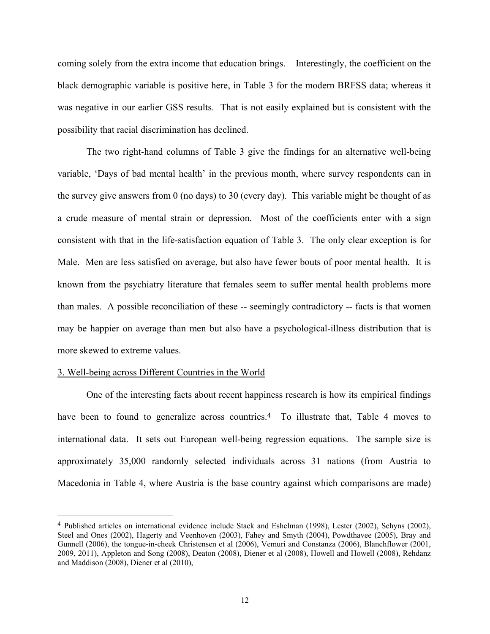coming solely from the extra income that education brings. Interestingly, the coefficient on the black demographic variable is positive here, in Table 3 for the modern BRFSS data; whereas it was negative in our earlier GSS results. That is not easily explained but is consistent with the possibility that racial discrimination has declined.

The two right-hand columns of Table 3 give the findings for an alternative well-being variable, 'Days of bad mental health' in the previous month, where survey respondents can in the survey give answers from 0 (no days) to 30 (every day). This variable might be thought of as a crude measure of mental strain or depression. Most of the coefficients enter with a sign consistent with that in the life-satisfaction equation of Table 3. The only clear exception is for Male. Men are less satisfied on average, but also have fewer bouts of poor mental health. It is known from the psychiatry literature that females seem to suffer mental health problems more than males. A possible reconciliation of these -- seemingly contradictory -- facts is that women may be happier on average than men but also have a psychological-illness distribution that is more skewed to extreme values.

## 3. Well-being across Different Countries in the World

 $\overline{a}$ 

One of the interesting facts about recent happiness research is how its empirical findings have been to found to generalize across countries.<sup>4</sup> To illustrate that, Table 4 moves to international data. It sets out European well-being regression equations. The sample size is approximately 35,000 randomly selected individuals across 31 nations (from Austria to Macedonia in Table 4, where Austria is the base country against which comparisons are made)

<sup>4</sup> Published articles on international evidence include Stack and Eshelman (1998), Lester (2002), Schyns (2002), Steel and Ones (2002), Hagerty and Veenhoven (2003), Fahey and Smyth (2004), Powdthavee (2005), Bray and Gunnell (2006), the tongue-in-cheek Christensen et al (2006), Vemuri and Constanza (2006), Blanchflower (2001, 2009, 2011), Appleton and Song (2008), Deaton (2008), Diener et al (2008), Howell and Howell (2008), Rehdanz and Maddison (2008), Diener et al (2010),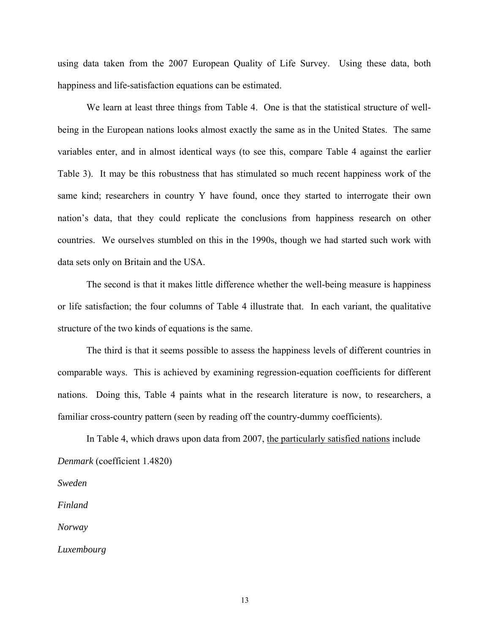using data taken from the 2007 European Quality of Life Survey. Using these data, both happiness and life-satisfaction equations can be estimated.

We learn at least three things from Table 4. One is that the statistical structure of wellbeing in the European nations looks almost exactly the same as in the United States. The same variables enter, and in almost identical ways (to see this, compare Table 4 against the earlier Table 3). It may be this robustness that has stimulated so much recent happiness work of the same kind; researchers in country Y have found, once they started to interrogate their own nation's data, that they could replicate the conclusions from happiness research on other countries. We ourselves stumbled on this in the 1990s, though we had started such work with data sets only on Britain and the USA.

The second is that it makes little difference whether the well-being measure is happiness or life satisfaction; the four columns of Table 4 illustrate that. In each variant, the qualitative structure of the two kinds of equations is the same.

The third is that it seems possible to assess the happiness levels of different countries in comparable ways. This is achieved by examining regression-equation coefficients for different nations. Doing this, Table 4 paints what in the research literature is now, to researchers, a familiar cross-country pattern (seen by reading off the country-dummy coefficients).

In Table 4, which draws upon data from 2007, the particularly satisfied nations include *Denmark* (coefficient 1.4820)

*Sweden* 

*Finland* 

*Norway* 

*Luxembourg*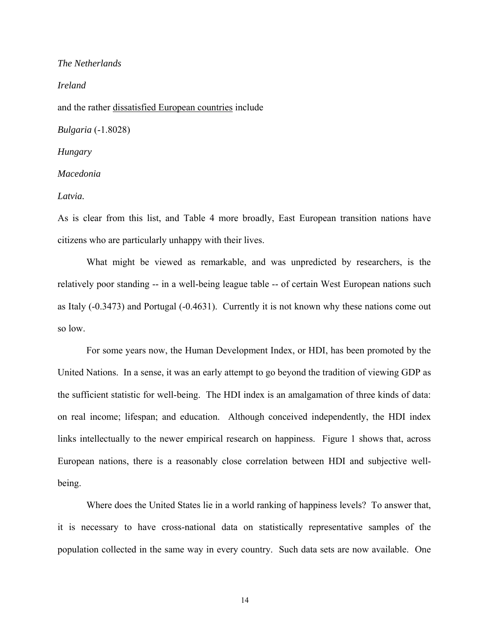## *The Netherlands*

*Ireland* 

and the rather dissatisfied European countries include

*Bulgaria* (-1.8028)

#### *Hungary*

*Macedonia* 

*Latvia.* 

As is clear from this list, and Table 4 more broadly, East European transition nations have citizens who are particularly unhappy with their lives.

What might be viewed as remarkable, and was unpredicted by researchers, is the relatively poor standing -- in a well-being league table -- of certain West European nations such as Italy (-0.3473) and Portugal (-0.4631). Currently it is not known why these nations come out so low.

For some years now, the Human Development Index, or HDI, has been promoted by the United Nations. In a sense, it was an early attempt to go beyond the tradition of viewing GDP as the sufficient statistic for well-being. The HDI index is an amalgamation of three kinds of data: on real income; lifespan; and education. Although conceived independently, the HDI index links intellectually to the newer empirical research on happiness. Figure 1 shows that, across European nations, there is a reasonably close correlation between HDI and subjective wellbeing.

Where does the United States lie in a world ranking of happiness levels? To answer that, it is necessary to have cross-national data on statistically representative samples of the population collected in the same way in every country. Such data sets are now available. One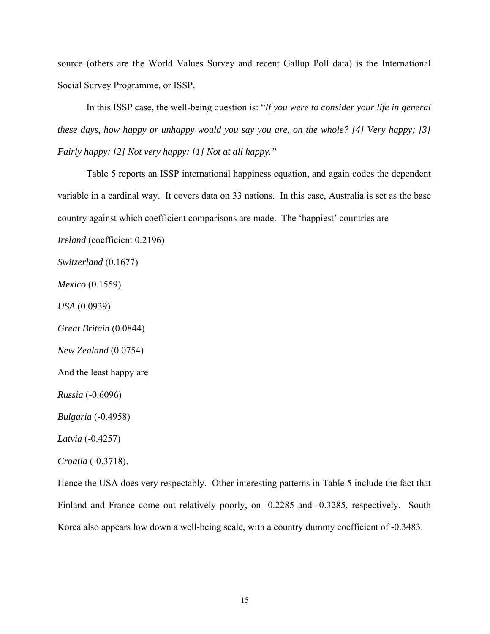source (others are the World Values Survey and recent Gallup Poll data) is the International Social Survey Programme, or ISSP.

In this ISSP case, the well-being question is: "*If you were to consider your life in general these days, how happy or unhappy would you say you are, on the whole? [4] Very happy; [3] Fairly happy; [2] Not very happy; [1] Not at all happy."* 

Table 5 reports an ISSP international happiness equation, and again codes the dependent variable in a cardinal way. It covers data on 33 nations. In this case, Australia is set as the base country against which coefficient comparisons are made. The 'happiest' countries are

*Ireland* (coefficient 0.2196)

*Switzerland* (0.1677)

*Mexico* (0.1559)

*USA* (0.0939)

*Great Britain* (0.0844)

*New Zealand* (0.0754)

And the least happy are

*Russia* (-0.6096)

*Bulgaria* (-0.4958)

*Latvia* (-0.4257)

*Croatia* (-0.3718).

Hence the USA does very respectably. Other interesting patterns in Table 5 include the fact that Finland and France come out relatively poorly, on -0.2285 and -0.3285, respectively. South Korea also appears low down a well-being scale, with a country dummy coefficient of -0.3483.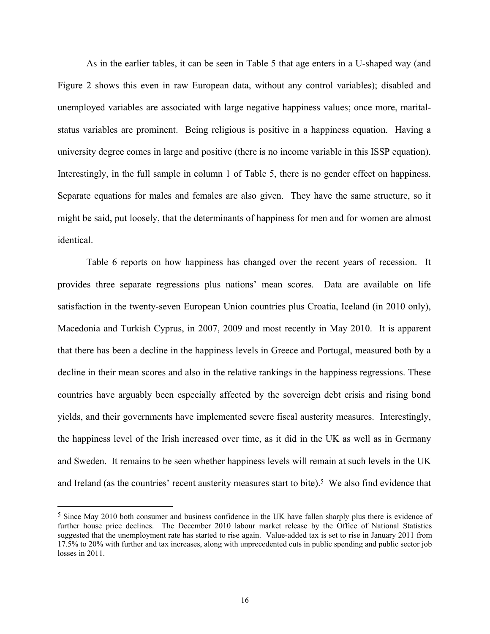As in the earlier tables, it can be seen in Table 5 that age enters in a U-shaped way (and Figure 2 shows this even in raw European data, without any control variables); disabled and unemployed variables are associated with large negative happiness values; once more, maritalstatus variables are prominent. Being religious is positive in a happiness equation. Having a university degree comes in large and positive (there is no income variable in this ISSP equation). Interestingly, in the full sample in column 1 of Table 5, there is no gender effect on happiness. Separate equations for males and females are also given. They have the same structure, so it might be said, put loosely, that the determinants of happiness for men and for women are almost identical.

Table 6 reports on how happiness has changed over the recent years of recession. It provides three separate regressions plus nations' mean scores. Data are available on life satisfaction in the twenty-seven European Union countries plus Croatia, Iceland (in 2010 only), Macedonia and Turkish Cyprus, in 2007, 2009 and most recently in May 2010. It is apparent that there has been a decline in the happiness levels in Greece and Portugal, measured both by a decline in their mean scores and also in the relative rankings in the happiness regressions. These countries have arguably been especially affected by the sovereign debt crisis and rising bond yields, and their governments have implemented severe fiscal austerity measures. Interestingly, the happiness level of the Irish increased over time, as it did in the UK as well as in Germany and Sweden. It remains to be seen whether happiness levels will remain at such levels in the UK and Ireland (as the countries' recent austerity measures start to bite).<sup>5</sup> We also find evidence that

<sup>5</sup> Since May 2010 both consumer and business confidence in the UK have fallen sharply plus there is evidence of further house price declines. The December 2010 labour market release by the Office of National Statistics suggested that the unemployment rate has started to rise again. Value-added tax is set to rise in January 2011 from 17.5% to 20% with further and tax increases, along with unprecedented cuts in public spending and public sector job losses in 2011.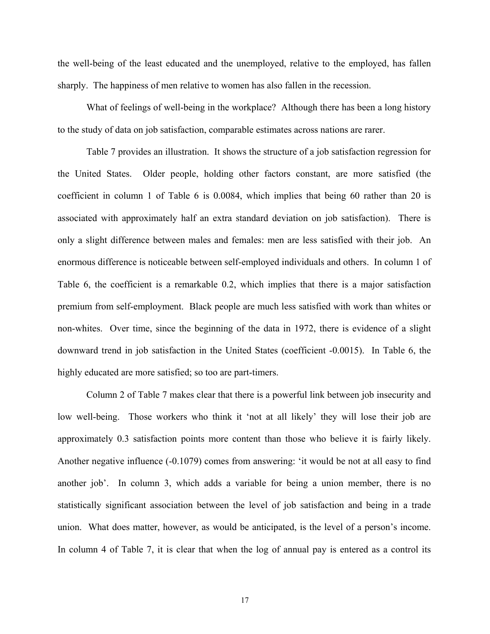the well-being of the least educated and the unemployed, relative to the employed, has fallen sharply. The happiness of men relative to women has also fallen in the recession.

What of feelings of well-being in the workplace? Although there has been a long history to the study of data on job satisfaction, comparable estimates across nations are rarer.

Table 7 provides an illustration. It shows the structure of a job satisfaction regression for the United States. Older people, holding other factors constant, are more satisfied (the coefficient in column 1 of Table 6 is 0.0084, which implies that being 60 rather than 20 is associated with approximately half an extra standard deviation on job satisfaction). There is only a slight difference between males and females: men are less satisfied with their job. An enormous difference is noticeable between self-employed individuals and others. In column 1 of Table 6, the coefficient is a remarkable 0.2, which implies that there is a major satisfaction premium from self-employment. Black people are much less satisfied with work than whites or non-whites. Over time, since the beginning of the data in 1972, there is evidence of a slight downward trend in job satisfaction in the United States (coefficient -0.0015). In Table 6, the highly educated are more satisfied; so too are part-timers.

Column 2 of Table 7 makes clear that there is a powerful link between job insecurity and low well-being. Those workers who think it 'not at all likely' they will lose their job are approximately 0.3 satisfaction points more content than those who believe it is fairly likely. Another negative influence (-0.1079) comes from answering: 'it would be not at all easy to find another job'. In column 3, which adds a variable for being a union member, there is no statistically significant association between the level of job satisfaction and being in a trade union. What does matter, however, as would be anticipated, is the level of a person's income. In column 4 of Table 7, it is clear that when the log of annual pay is entered as a control its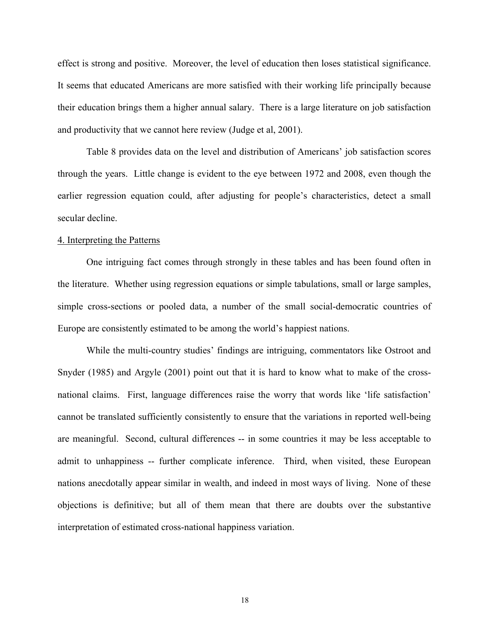effect is strong and positive. Moreover, the level of education then loses statistical significance. It seems that educated Americans are more satisfied with their working life principally because their education brings them a higher annual salary. There is a large literature on job satisfaction and productivity that we cannot here review (Judge et al, 2001).

Table 8 provides data on the level and distribution of Americans' job satisfaction scores through the years. Little change is evident to the eye between 1972 and 2008, even though the earlier regression equation could, after adjusting for people's characteristics, detect a small secular decline.

## 4. Interpreting the Patterns

One intriguing fact comes through strongly in these tables and has been found often in the literature. Whether using regression equations or simple tabulations, small or large samples, simple cross-sections or pooled data, a number of the small social-democratic countries of Europe are consistently estimated to be among the world's happiest nations.

While the multi-country studies' findings are intriguing, commentators like Ostroot and Snyder (1985) and Argyle (2001) point out that it is hard to know what to make of the crossnational claims. First, language differences raise the worry that words like 'life satisfaction' cannot be translated sufficiently consistently to ensure that the variations in reported well-being are meaningful. Second, cultural differences -- in some countries it may be less acceptable to admit to unhappiness -- further complicate inference. Third, when visited, these European nations anecdotally appear similar in wealth, and indeed in most ways of living. None of these objections is definitive; but all of them mean that there are doubts over the substantive interpretation of estimated cross-national happiness variation.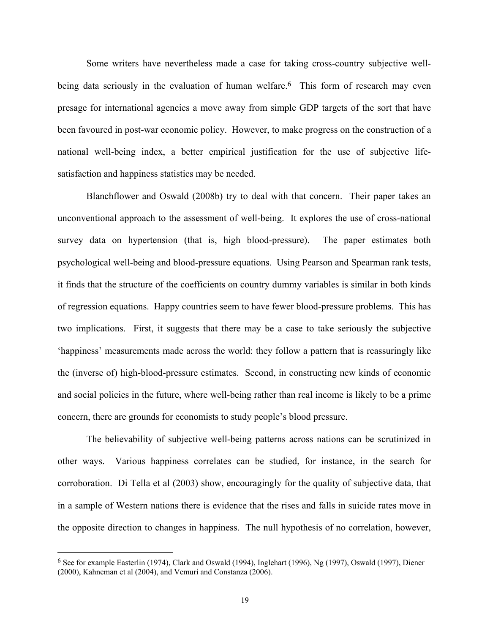Some writers have nevertheless made a case for taking cross-country subjective wellbeing data seriously in the evaluation of human welfare.<sup>6</sup> This form of research may even presage for international agencies a move away from simple GDP targets of the sort that have been favoured in post-war economic policy. However, to make progress on the construction of a national well-being index, a better empirical justification for the use of subjective lifesatisfaction and happiness statistics may be needed.

Blanchflower and Oswald (2008b) try to deal with that concern. Their paper takes an unconventional approach to the assessment of well-being. It explores the use of cross-national survey data on hypertension (that is, high blood-pressure). The paper estimates both psychological well-being and blood-pressure equations. Using Pearson and Spearman rank tests, it finds that the structure of the coefficients on country dummy variables is similar in both kinds of regression equations. Happy countries seem to have fewer blood-pressure problems. This has two implications. First, it suggests that there may be a case to take seriously the subjective 'happiness' measurements made across the world: they follow a pattern that is reassuringly like the (inverse of) high-blood-pressure estimates. Second, in constructing new kinds of economic and social policies in the future, where well-being rather than real income is likely to be a prime concern, there are grounds for economists to study people's blood pressure.

The believability of subjective well-being patterns across nations can be scrutinized in other ways. Various happiness correlates can be studied, for instance, in the search for corroboration. Di Tella et al (2003) show, encouragingly for the quality of subjective data, that in a sample of Western nations there is evidence that the rises and falls in suicide rates move in the opposite direction to changes in happiness. The null hypothesis of no correlation, however,

 $\overline{a}$ 

<sup>6</sup> See for example Easterlin (1974), Clark and Oswald (1994), Inglehart (1996), Ng (1997), Oswald (1997), Diener (2000), Kahneman et al (2004), and Vemuri and Constanza (2006).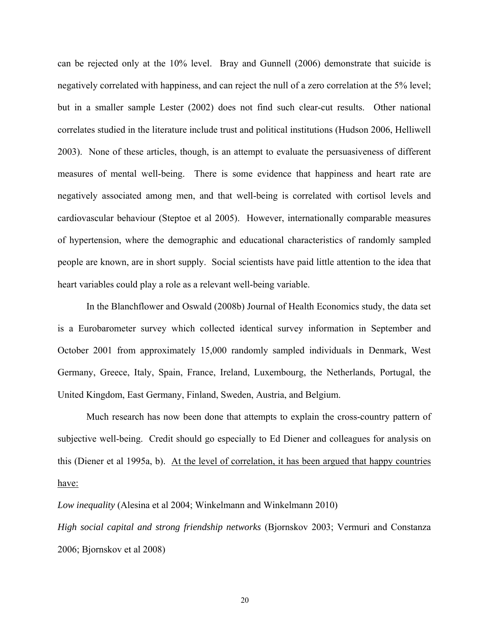can be rejected only at the 10% level. Bray and Gunnell (2006) demonstrate that suicide is negatively correlated with happiness, and can reject the null of a zero correlation at the 5% level; but in a smaller sample Lester (2002) does not find such clear-cut results. Other national correlates studied in the literature include trust and political institutions (Hudson 2006, Helliwell 2003). None of these articles, though, is an attempt to evaluate the persuasiveness of different measures of mental well-being. There is some evidence that happiness and heart rate are negatively associated among men, and that well-being is correlated with cortisol levels and cardiovascular behaviour (Steptoe et al 2005). However, internationally comparable measures of hypertension, where the demographic and educational characteristics of randomly sampled people are known, are in short supply. Social scientists have paid little attention to the idea that heart variables could play a role as a relevant well-being variable.

In the Blanchflower and Oswald (2008b) Journal of Health Economics study, the data set is a Eurobarometer survey which collected identical survey information in September and October 2001 from approximately 15,000 randomly sampled individuals in Denmark, West Germany, Greece, Italy, Spain, France, Ireland, Luxembourg, the Netherlands, Portugal, the United Kingdom, East Germany, Finland, Sweden, Austria, and Belgium.

Much research has now been done that attempts to explain the cross-country pattern of subjective well-being. Credit should go especially to Ed Diener and colleagues for analysis on this (Diener et al 1995a, b). At the level of correlation, it has been argued that happy countries have:

*Low inequality* (Alesina et al 2004; Winkelmann and Winkelmann 2010)

*High social capital and strong friendship networks* (Bjornskov 2003; Vermuri and Constanza 2006; Bjornskov et al 2008)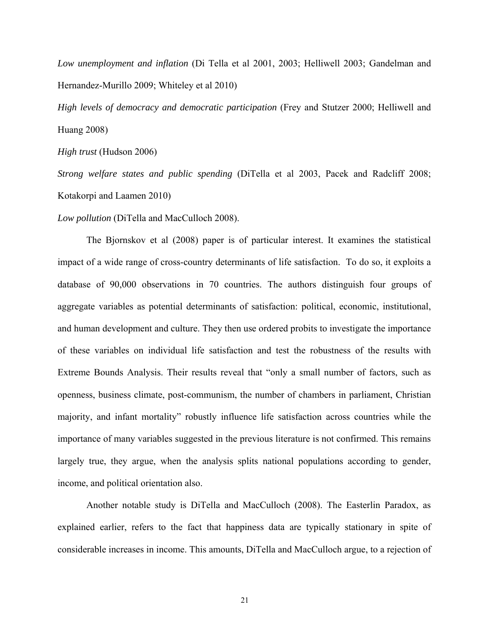*Low unemployment and inflation* (Di Tella et al 2001, 2003; Helliwell 2003; Gandelman and Hernandez-Murillo 2009; Whiteley et al 2010)

*High levels of democracy and democratic participation* (Frey and Stutzer 2000; Helliwell and Huang 2008)

*High trust* (Hudson 2006)

*Strong welfare states and public spending* (DiTella et al 2003, Pacek and Radcliff 2008; Kotakorpi and Laamen 2010)

*Low pollution* (DiTella and MacCulloch 2008).

The Bjornskov et al (2008) paper is of particular interest. It examines the statistical impact of a wide range of cross-country determinants of life satisfaction. To do so, it exploits a database of 90,000 observations in 70 countries. The authors distinguish four groups of aggregate variables as potential determinants of satisfaction: political, economic, institutional, and human development and culture. They then use ordered probits to investigate the importance of these variables on individual life satisfaction and test the robustness of the results with Extreme Bounds Analysis. Their results reveal that "only a small number of factors, such as openness, business climate, post-communism, the number of chambers in parliament, Christian majority, and infant mortality" robustly influence life satisfaction across countries while the importance of many variables suggested in the previous literature is not confirmed. This remains largely true, they argue, when the analysis splits national populations according to gender, income, and political orientation also.

Another notable study is DiTella and MacCulloch (2008). The Easterlin Paradox, as explained earlier, refers to the fact that happiness data are typically stationary in spite of considerable increases in income. This amounts, DiTella and MacCulloch argue, to a rejection of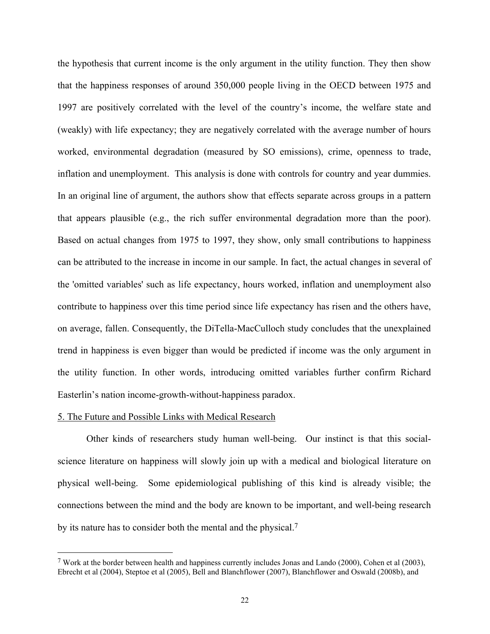the hypothesis that current income is the only argument in the utility function. They then show that the happiness responses of around 350,000 people living in the OECD between 1975 and 1997 are positively correlated with the level of the country's income, the welfare state and (weakly) with life expectancy; they are negatively correlated with the average number of hours worked, environmental degradation (measured by SO emissions), crime, openness to trade, inflation and unemployment. This analysis is done with controls for country and year dummies. In an original line of argument, the authors show that effects separate across groups in a pattern that appears plausible (e.g., the rich suffer environmental degradation more than the poor). Based on actual changes from 1975 to 1997, they show, only small contributions to happiness can be attributed to the increase in income in our sample. In fact, the actual changes in several of the 'omitted variables' such as life expectancy, hours worked, inflation and unemployment also contribute to happiness over this time period since life expectancy has risen and the others have, on average, fallen. Consequently, the DiTella-MacCulloch study concludes that the unexplained trend in happiness is even bigger than would be predicted if income was the only argument in the utility function. In other words, introducing omitted variables further confirm Richard Easterlin's nation income-growth-without-happiness paradox.

#### 5. The Future and Possible Links with Medical Research

 $\overline{a}$ 

Other kinds of researchers study human well-being. Our instinct is that this socialscience literature on happiness will slowly join up with a medical and biological literature on physical well-being. Some epidemiological publishing of this kind is already visible; the connections between the mind and the body are known to be important, and well-being research by its nature has to consider both the mental and the physical.7

<sup>7</sup> Work at the border between health and happiness currently includes Jonas and Lando (2000), Cohen et al (2003), Ebrecht et al (2004), Steptoe et al (2005), Bell and Blanchflower (2007), Blanchflower and Oswald (2008b), and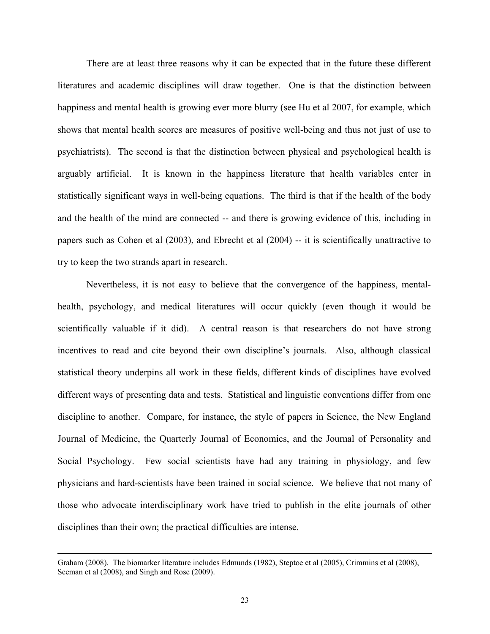There are at least three reasons why it can be expected that in the future these different literatures and academic disciplines will draw together. One is that the distinction between happiness and mental health is growing ever more blurry (see Hu et al 2007, for example, which shows that mental health scores are measures of positive well-being and thus not just of use to psychiatrists). The second is that the distinction between physical and psychological health is arguably artificial. It is known in the happiness literature that health variables enter in statistically significant ways in well-being equations. The third is that if the health of the body and the health of the mind are connected -- and there is growing evidence of this, including in papers such as Cohen et al (2003), and Ebrecht et al (2004) -- it is scientifically unattractive to try to keep the two strands apart in research.

 Nevertheless, it is not easy to believe that the convergence of the happiness, mentalhealth, psychology, and medical literatures will occur quickly (even though it would be scientifically valuable if it did). A central reason is that researchers do not have strong incentives to read and cite beyond their own discipline's journals. Also, although classical statistical theory underpins all work in these fields, different kinds of disciplines have evolved different ways of presenting data and tests. Statistical and linguistic conventions differ from one discipline to another. Compare, for instance, the style of papers in Science, the New England Journal of Medicine, the Quarterly Journal of Economics, and the Journal of Personality and Social Psychology. Few social scientists have had any training in physiology, and few physicians and hard-scientists have been trained in social science. We believe that not many of those who advocate interdisciplinary work have tried to publish in the elite journals of other disciplines than their own; the practical difficulties are intense.

Graham (2008). The biomarker literature includes Edmunds (1982), Steptoe et al (2005), Crimmins et al (2008), Seeman et al (2008), and Singh and Rose (2009).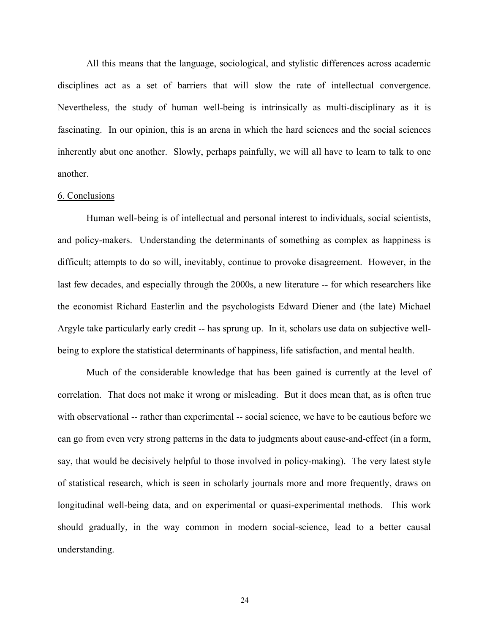All this means that the language, sociological, and stylistic differences across academic disciplines act as a set of barriers that will slow the rate of intellectual convergence. Nevertheless, the study of human well-being is intrinsically as multi-disciplinary as it is fascinating. In our opinion, this is an arena in which the hard sciences and the social sciences inherently abut one another. Slowly, perhaps painfully, we will all have to learn to talk to one another.

#### 6. Conclusions

Human well-being is of intellectual and personal interest to individuals, social scientists, and policy-makers. Understanding the determinants of something as complex as happiness is difficult; attempts to do so will, inevitably, continue to provoke disagreement. However, in the last few decades, and especially through the 2000s, a new literature -- for which researchers like the economist Richard Easterlin and the psychologists Edward Diener and (the late) Michael Argyle take particularly early credit -- has sprung up. In it, scholars use data on subjective wellbeing to explore the statistical determinants of happiness, life satisfaction, and mental health.

Much of the considerable knowledge that has been gained is currently at the level of correlation. That does not make it wrong or misleading. But it does mean that, as is often true with observational -- rather than experimental -- social science, we have to be cautious before we can go from even very strong patterns in the data to judgments about cause-and-effect (in a form, say, that would be decisively helpful to those involved in policy-making). The very latest style of statistical research, which is seen in scholarly journals more and more frequently, draws on longitudinal well-being data, and on experimental or quasi-experimental methods. This work should gradually, in the way common in modern social-science, lead to a better causal understanding.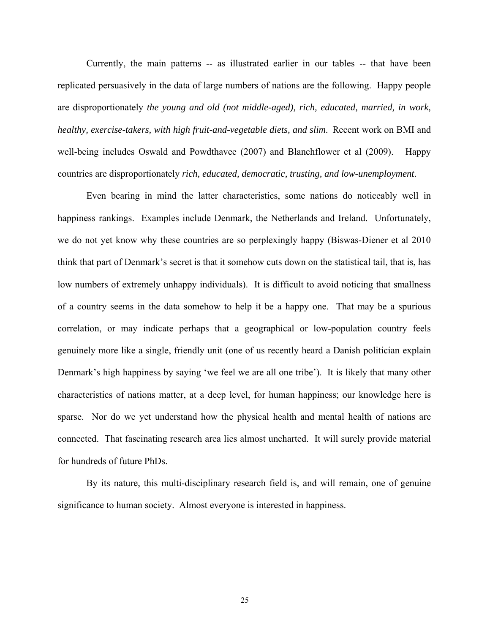Currently, the main patterns -- as illustrated earlier in our tables -- that have been replicated persuasively in the data of large numbers of nations are the following. Happy people are disproportionately *the young and old (not middle-aged), rich, educated, married, in work, healthy, exercise-takers, with high fruit-and-vegetable diets, and slim*. Recent work on BMI and well-being includes Oswald and Powdthavee (2007) and Blanchflower et al (2009). Happy countries are disproportionately *rich, educated, democratic, trusting, and low-unemployment*.

 Even bearing in mind the latter characteristics, some nations do noticeably well in happiness rankings. Examples include Denmark, the Netherlands and Ireland. Unfortunately, we do not yet know why these countries are so perplexingly happy (Biswas-Diener et al 2010 think that part of Denmark's secret is that it somehow cuts down on the statistical tail, that is, has low numbers of extremely unhappy individuals). It is difficult to avoid noticing that smallness of a country seems in the data somehow to help it be a happy one. That may be a spurious correlation, or may indicate perhaps that a geographical or low-population country feels genuinely more like a single, friendly unit (one of us recently heard a Danish politician explain Denmark's high happiness by saying 'we feel we are all one tribe'). It is likely that many other characteristics of nations matter, at a deep level, for human happiness; our knowledge here is sparse. Nor do we yet understand how the physical health and mental health of nations are connected. That fascinating research area lies almost uncharted. It will surely provide material for hundreds of future PhDs.

 By its nature, this multi-disciplinary research field is, and will remain, one of genuine significance to human society. Almost everyone is interested in happiness.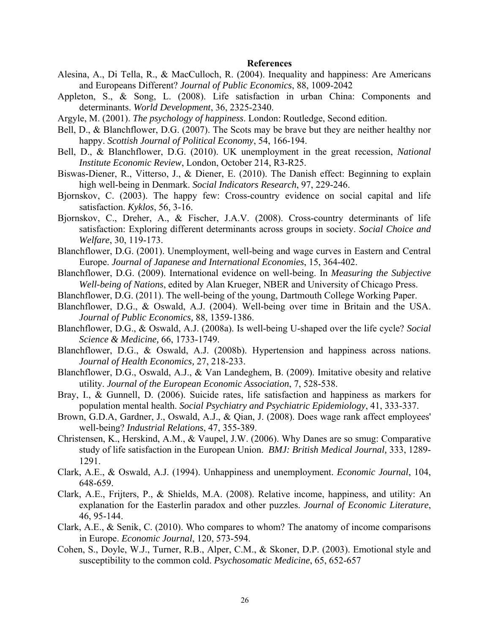#### **References**

- Alesina, A., Di Tella, R., & MacCulloch, R. (2004). Inequality and happiness: Are Americans and Europeans Different? *Journal of Public Economics*, 88, 1009-2042
- Appleton, S., & Song, L. (2008). Life satisfaction in urban China: Components and determinants. *World Development*, 36, 2325-2340.
- Argyle, M. (2001). *The psychology of happiness*. London: Routledge, Second edition.
- Bell, D., & Blanchflower, D.G. (2007). The Scots may be brave but they are neither healthy nor happy. *Scottish Journal of Political Economy*, 54, 166-194.
- Bell, D., & Blanchflower, D.G. (2010). UK unemployment in the great recession, *National Institute Economic Review*, London, October 214, R3-R25.
- Biswas-Diener, R., Vitterso, J., & Diener, E. (2010). The Danish effect: Beginning to explain high well-being in Denmark. *Social Indicators Research*, 97, 229-246.
- Bjornskov, C. (2003). The happy few: Cross-country evidence on social capital and life satisfaction. *Kyklos*, 56, 3-16.
- Bjornskov, C., Dreher, A., & Fischer, J.A.V. (2008). Cross-country determinants of life satisfaction: Exploring different determinants across groups in society. *Social Choice and Welfare*, 30, 119-173.
- Blanchflower, D.G. (2001). Unemployment, well-being and wage curves in Eastern and Central Europe. *Journal of Japanese and International Economies*, 15, 364-402.
- Blanchflower, D.G. (2009). International evidence on well-being. In *Measuring the Subjective Well-being of Nations*, edited by Alan Krueger, NBER and University of Chicago Press.
- Blanchflower, D.G. (2011). The well-being of the young, Dartmouth College Working Paper.
- Blanchflower, D.G., & Oswald, A.J. (2004). Well-being over time in Britain and the USA. *Journal of Public Economics,* 88, 1359-1386.
- Blanchflower, D.G., & Oswald, A.J. (2008a). Is well-being U-shaped over the life cycle? *Social Science & Medicine,* 66, 1733-1749.
- Blanchflower, D.G., & Oswald, A.J. (2008b). Hypertension and happiness across nations. *Journal of Health Economics,* 27, 218-233.
- Blanchflower, D.G., Oswald, A.J., & Van Landeghem, B. (2009). Imitative obesity and relative utility. *Journal of the European Economic Association*, 7, 528-538.
- Bray, I., & Gunnell, D. (2006). Suicide rates, life satisfaction and happiness as markers for population mental health. *Social Psychiatry and Psychiatric Epidemiology*, 41, 333-337.
- Brown, G.D.A, Gardner, J., Oswald, A.J., & Qian, J. (2008). Does wage rank affect employees' well-being? *Industrial Relations*, 47, 355-389.
- Christensen, K., Herskind, A.M., & Vaupel, J.W. (2006). Why Danes are so smug: Comparative study of life satisfaction in the European Union. *BMJ: British Medical Journal,* 333, 1289- 1291.
- Clark, A.E., & Oswald, A.J. (1994). Unhappiness and unemployment. *Economic Journal*, 104, 648-659.
- Clark, A.E., Frijters, P., & Shields, M.A. (2008). Relative income, happiness, and utility: An explanation for the Easterlin paradox and other puzzles. *Journal of Economic Literature*, 46, 95-144.
- Clark, A.E., & Senik, C. (2010). Who compares to whom? The anatomy of income comparisons in Europe. *Economic Journal*, 120, 573-594.
- Cohen, S., Doyle, W.J., Turner, R.B., Alper, C.M., & Skoner, D.P. (2003). Emotional style and susceptibility to the common cold. *Psychosomatic Medicine*, 65, 652-657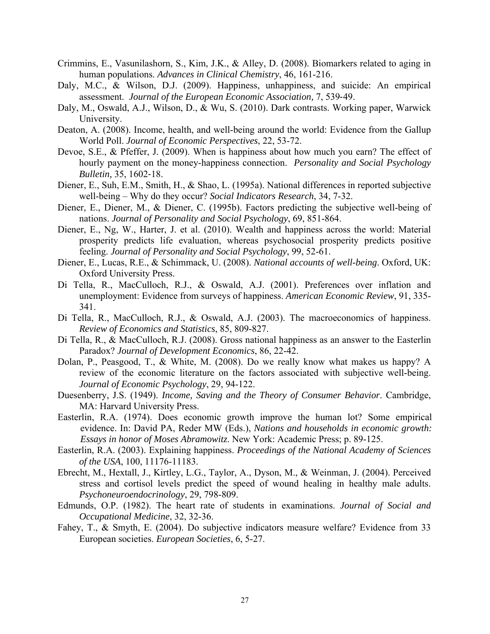- Crimmins, E., Vasunilashorn, S., Kim, J.K., & Alley, D. (2008). Biomarkers related to aging in human populations. *Advances in Clinical Chemistry*, 46, 161-216.
- Daly, M.C., & Wilson, D.J. (2009). Happiness, unhappiness, and suicide: An empirical assessment. *Journal of the European Economic Association,* 7, 539‐49.
- Daly, M., Oswald, A.J., Wilson, D., & Wu, S. (2010). Dark contrasts. Working paper, Warwick University.
- Deaton, A. (2008). Income, health, and well-being around the world: Evidence from the Gallup World Poll. *Journal of Economic Perspectives*, 22, 53-72.
- Devoe, S.E., & Pfeffer, J. (2009). When is happiness about how much you earn? The effect of hourly payment on the money-happiness connection. *Personality and Social Psychology Bulletin,* 35, 1602‐18.
- Diener, E., Suh, E.M., Smith, H., & Shao, L. (1995a). National differences in reported subjective well-being – Why do they occur? *Social Indicators Research*, 34, 7-32.
- Diener, E., Diener, M., & Diener, C. (1995b). Factors predicting the subjective well-being of nations. *Journal of Personality and Social Psychology*, 69, 851-864.
- Diener, E., Ng, W., Harter, J. et al. (2010). Wealth and happiness across the world: Material prosperity predicts life evaluation, whereas psychosocial prosperity predicts positive feeling. *Journal of Personality and Social Psychology*, 99, 52-61.
- Diener, E., Lucas, R.E., & Schimmack, U. (2008). *National accounts of well-being*. Oxford, UK: Oxford University Press.
- Di Tella, R., MacCulloch, R.J., & Oswald, A.J. (2001). Preferences over inflation and unemployment: Evidence from surveys of happiness. *American Economic Review*, 91, 335- 341.
- Di Tella, R., MacCulloch, R.J., & Oswald, A.J. (2003). The macroeconomics of happiness. *Review of Economics and Statistics*, 85, 809-827.
- Di Tella, R., & MacCulloch, R.J. (2008). Gross national happiness as an answer to the Easterlin Paradox? *Journal of Development Economics*, 86, 22-42.
- Dolan, P., Peasgood, T., & White, M. (2008). Do we really know what makes us happy? A review of the economic literature on the factors associated with subjective well-being. *Journal of Economic Psychology*, 29, 94-122.
- Duesenberry, J.S. (1949). *Income, Saving and the Theory of Consumer Behavior*. Cambridge, MA: Harvard University Press.
- Easterlin, R.A. (1974). Does economic growth improve the human lot? Some empirical evidence. In: David PA, Reder MW (Eds.), *Nations and households in economic growth: Essays in honor of Moses Abramowitz*. New York: Academic Press; p. 89-125.
- Easterlin, R.A. (2003). Explaining happiness. *Proceedings of the National Academy of Sciences of the USA*, 100, 11176-11183.
- Ebrecht, M., Hextall, J., Kirtley, L.G., Taylor, A., Dyson, M., & Weinman, J. (2004). Perceived stress and cortisol levels predict the speed of wound healing in healthy male adults. *Psychoneuroendocrinology*, 29, 798-809.
- Edmunds, O.P. (1982). The heart rate of students in examinations. *Journal of Social and Occupational Medicine*, 32, 32-36.
- Fahey, T., & Smyth, E. (2004). Do subjective indicators measure welfare? Evidence from 33 European societies. *European Societies*, 6, 5-27.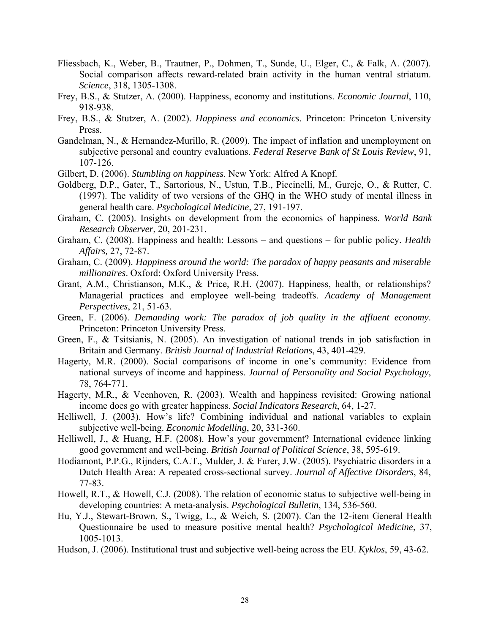- Fliessbach, K., Weber, B., Trautner, P., Dohmen, T., Sunde, U., Elger, C., & Falk, A. (2007). Social comparison affects reward-related brain activity in the human ventral striatum. *Science*, 318, 1305-1308.
- Frey, B.S., & Stutzer, A. (2000). Happiness, economy and institutions. *Economic Journal*, 110, 918-938.
- Frey, B.S., & Stutzer, A. (2002). *Happiness and economics*. Princeton: Princeton University Press.
- Gandelman, N., & Hernandez-Murillo, R. (2009). The impact of inflation and unemployment on subjective personal and country evaluations. *Federal Reserve Bank of St Louis Review*, 91, 107-126.
- Gilbert, D. (2006). *Stumbling on happiness*. New York: Alfred A Knopf.
- Goldberg, D.P., Gater, T., Sartorious, N., Ustun, T.B., Piccinelli, M., Gureje, O., & Rutter, C. (1997). The validity of two versions of the GHQ in the WHO study of mental illness in general health care. *Psychological Medicine*, 27, 191-197.
- Graham, C. (2005). Insights on development from the economics of happiness. *World Bank Research Observer*, 20, 201-231.
- Graham, C. (2008). Happiness and health: Lessons and questions for public policy. *Health Affairs,* 27, 72-87.
- Graham, C. (2009). *Happiness around the world: The paradox of happy peasants and miserable millionaires*. Oxford: Oxford University Press.
- Grant, A.M., Christianson, M.K., & Price, R.H. (2007). Happiness, health, or relationships? Managerial practices and employee well-being tradeoffs. *Academy of Management Perspectives*, 21, 51-63.
- Green, F. (2006). *Demanding work: The paradox of job quality in the affluent economy*. Princeton: Princeton University Press.
- Green, F., & Tsitsianis, N. (2005). An investigation of national trends in job satisfaction in Britain and Germany. *British Journal of Industrial Relations*, 43, 401-429.
- Hagerty, M.R. (2000). Social comparisons of income in one's community: Evidence from national surveys of income and happiness. *Journal of Personality and Social Psychology*, 78, 764-771.
- Hagerty, M.R., & Veenhoven, R. (2003). Wealth and happiness revisited: Growing national income does go with greater happiness. *Social Indicators Research*, 64, 1-27.
- Helliwell, J. (2003). How's life? Combining individual and national variables to explain subjective well-being. *Economic Modelling*, 20, 331-360.
- Helliwell, J., & Huang, H.F. (2008). How's your government? International evidence linking good government and well-being. *British Journal of Political Science*, 38, 595-619.
- Hodiamont, P.P.G., Rijnders, C.A.T., Mulder, J. & Furer, J.W. (2005). Psychiatric disorders in a Dutch Health Area: A repeated cross-sectional survey. *Journal of Affective Disorders*, 84, 77-83.
- Howell, R.T., & Howell, C.J. (2008). The relation of economic status to subjective well-being in developing countries: A meta-analysis. *Psychological Bulletin*, 134, 536-560.
- Hu, Y.J., Stewart-Brown, S., Twigg, L., & Weich, S. (2007). Can the 12-item General Health Questionnaire be used to measure positive mental health? *Psychological Medicine*, 37, 1005-1013.
- Hudson, J. (2006). Institutional trust and subjective well-being across the EU. *Kyklos*, 59, 43-62.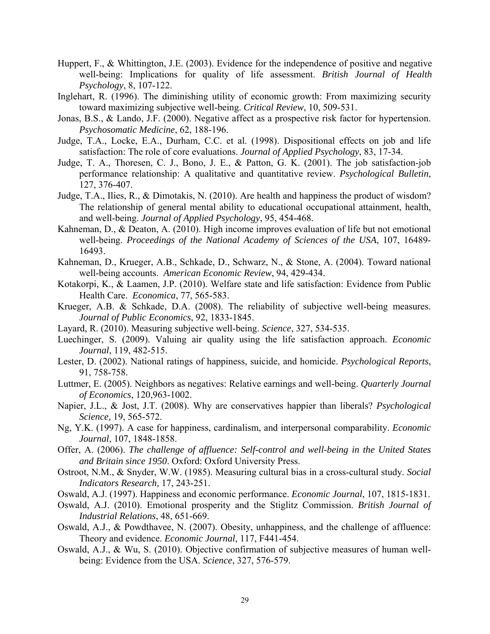- Huppert, F., & Whittington, J.E. (2003). Evidence for the independence of positive and negative well-being: Implications for quality of life assessment. *British Journal of Health Psychology*, 8, 107-122.
- Inglehart, R. (1996). The diminishing utility of economic growth: From maximizing security toward maximizing subjective well-being. *Critical Review*, 10, 509-531.
- Jonas, B.S., & Lando, J.F. (2000). Negative affect as a prospective risk factor for hypertension. *Psychosomatic Medicine*, 62, 188-196.
- Judge, T.A., Locke, E.A., Durham, C.C. et al. (1998). Dispositional effects on job and life satisfaction: The role of core evaluations. *Journal of Applied Psychology*, 83, 17-34.
- Judge, T. A., Thoresen, C. J., Bono, J. E., & Patton, G. K. (2001). The job satisfaction-job performance relationship: A qualitative and quantitative review. *Psychological Bulletin*, 127, 376-407.
- Judge, T.A., Ilies, R., & Dimotakis, N. (2010). Are health and happiness the product of wisdom? The relationship of general mental ability to educational occupational attainment, health, and well-being. *Journal of Applied Psychology*, 95, 454-468.
- Kahneman, D., & Deaton, A. (2010). High income improves evaluation of life but not emotional well-being. *Proceedings of the National Academy of Sciences of the USA*, 107, 16489- 16493.
- Kahneman, D., Krueger, A.B., Schkade, D., Schwarz, N., & Stone, A. (2004). Toward national well-being accounts. *American Economic Review*, 94, 429-434.
- Kotakorpi, K., & Laamen, J.P. (2010). Welfare state and life satisfaction: Evidence from Public Health Care. *Economica*, 77, 565-583.
- Krueger, A.B. & Schkade, D.A. (2008). The reliability of subjective well-being measures. *Journal of Public Economics*, 92, 1833-1845.
- Layard, R. (2010). Measuring subjective well-being. *Science*, 327, 534-535.
- Luechinger, S. (2009). Valuing air quality using the life satisfaction approach. *Economic Journal*, 119, 482-515.
- Lester, D. (2002). National ratings of happiness, suicide, and homicide. *Psychological Reports*, 91, 758-758.
- Luttmer, E. (2005). Neighbors as negatives: Relative earnings and well-being. *Quarterly Journal of Economics*, 120,963-1002.
- Napier, J.L., & Jost, J.T. (2008). Why are conservatives happier than liberals? *Psychological Science,* 19, 565-572.
- Ng, Y.K. (1997). A case for happiness, cardinalism, and interpersonal comparability. *Economic Journal*, 107, 1848-1858.
- Offer, A. (2006). *The challenge of affluence: Self-control and well-being in the United States and Britain since 1950*. Oxford: Oxford University Press.
- Ostroot, N.M., & Snyder, W.W. (1985). Measuring cultural bias in a cross-cultural study. *Social Indicators Research,* 17, 243-251.
- Oswald, A.J. (1997). Happiness and economic performance. *Economic Journal*, 107, 1815-1831.
- Oswald, A.J. (2010). Emotional prosperity and the Stiglitz Commission. *British Journal of Industrial Relations*, 48, 651-669.
- Oswald, A.J., & Powdthavee, N. (2007). Obesity, unhappiness, and the challenge of affluence: Theory and evidence. *Economic Journal*, 117, F441-454.
- Oswald, A.J., & Wu, S. (2010). Objective confirmation of subjective measures of human wellbeing: Evidence from the USA. *Science*, 327, 576-579.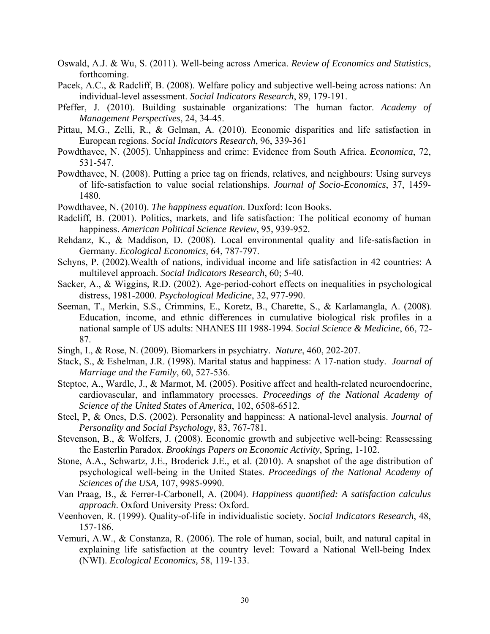- Oswald, A.J. & Wu, S. (2011). Well-being across America. *Review of Economics and Statistics*, forthcoming.
- Pacek, A.C., & Radcliff, B. (2008). Welfare policy and subjective well-being across nations: An individual-level assessment. *Social Indicators Research*, 89, 179-191.
- Pfeffer, J. (2010). Building sustainable organizations: The human factor. *Academy of Management Perspectives*, 24, 34-45.
- Pittau, M.G., Zelli, R., & Gelman, A. (2010). Economic disparities and life satisfaction in European regions. *Social Indicators Research*, 96, 339-361
- Powdthavee, N. (2005). Unhappiness and crime: Evidence from South Africa. *Economica*, 72, 531-547.
- Powdthavee, N. (2008). Putting a price tag on friends, relatives, and neighbours: Using surveys of life-satisfaction to value social relationships. *Journal of Socio-Economics*, 37, 1459- 1480.
- Powdthavee, N. (2010). *The happiness equation*. Duxford: Icon Books.
- Radcliff, B. (2001). Politics, markets, and life satisfaction: The political economy of human happiness. *American Political Science Review*, 95, 939-952.
- Rehdanz, K., & Maddison, D. (2008). Local environmental quality and life-satisfaction in Germany. *Ecological Economics,* 64, 787-797.
- Schyns, P. (2002).Wealth of nations, individual income and life satisfaction in 42 countries: A multilevel approach. *Social Indicators Research*, 60; 5-40.
- Sacker, A., & Wiggins, R.D. (2002). Age-period-cohort effects on inequalities in psychological distress, 1981-2000. *Psychological Medicine*, 32, 977-990.
- Seeman, T., Merkin, S.S., Crimmins, E., Koretz, B., Charette, S., & Karlamangla, A. (2008). Education, income, and ethnic differences in cumulative biological risk profiles in a national sample of US adults: NHANES III 1988-1994. *Social Science & Medicine*, 66, 72- 87.
- Singh, I., & Rose, N. (2009). Biomarkers in psychiatry. *Nature*, 460, 202-207.
- Stack, S., & Eshelman, J.R. (1998). Marital status and happiness: A 17-nation study. *Journal of Marriage and the Family*, 60, 527-536.
- Steptoe, A., Wardle, J., & Marmot, M. (2005). Positive affect and health-related neuroendocrine, cardiovascular, and inflammatory processes. *Proceedings of the National Academy of Science of the United States* of *America*, 102, 6508-6512.
- Steel, P, & Ones, D.S. (2002). Personality and happiness: A national-level analysis. *Journal of Personality and Social Psychology,* 83, 767-781.
- Stevenson, B., & Wolfers, J. (2008). Economic growth and subjective well-being: Reassessing the Easterlin Paradox. *Brookings Papers on Economic Activity*, Spring, 1-102.
- Stone, A.A., Schwartz, J.E., Broderick J.E., et al. (2010). A snapshot of the age distribution of psychological well-being in the United States. *Proceedings of the National Academy of Sciences of the USA,* 107, 9985-9990.
- Van Praag, B., & Ferrer-I-Carbonell, A. (2004). *Happiness quantified: A satisfaction calculus approach*. Oxford University Press: Oxford.
- Veenhoven, R. (1999). Quality-of-life in individualistic society. *Social Indicators Research*, 48, 157-186.
- Vemuri, A.W., & Constanza, R. (2006). The role of human, social, built, and natural capital in explaining life satisfaction at the country level: Toward a National Well-being Index (NWI). *Ecological Economics,* 58, 119-133.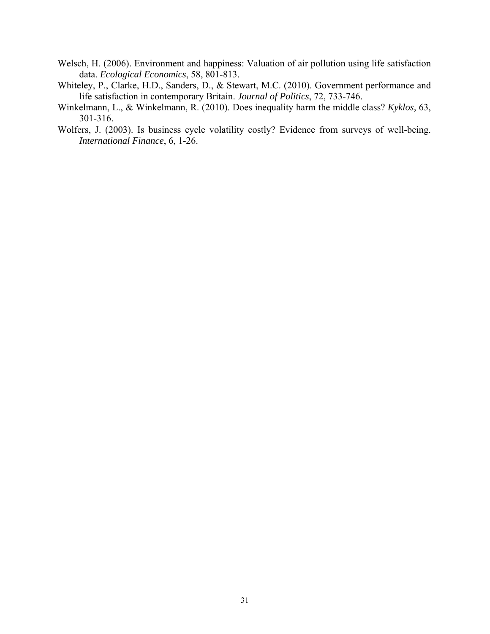- Welsch, H. (2006). Environment and happiness: Valuation of air pollution using life satisfaction data. *Ecological Economics*, 58, 801-813.
- Whiteley, P., Clarke, H.D., Sanders, D., & Stewart, M.C. (2010). Government performance and life satisfaction in contemporary Britain. *Journal of Politics*, 72, 733-746.
- Winkelmann, L., & Winkelmann, R. (2010). Does inequality harm the middle class? *Kyklos,* 63, 301-316.
- Wolfers, J. (2003). Is business cycle volatility costly? Evidence from surveys of well-being. *International Finance*, 6, 1-26.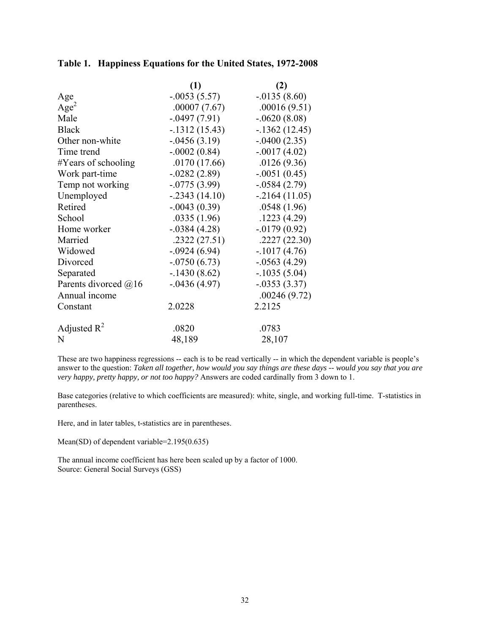# **Table 1. Happiness Equations for the United States, 1972-2008**

|                      | (1)              | (2)             |
|----------------------|------------------|-----------------|
| Age                  | $-.0053(5.57)$   | $-0.0135(8.60)$ |
| Age <sup>2</sup>     | .00007(7.67)     | .00016(9.51)    |
| Male                 | $-0.0497(7.91)$  | $-.0620(8.08)$  |
| <b>Black</b>         | $-1312(15.43)$   | $-1362(12.45)$  |
| Other non-white      | $-0.0456(3.19)$  | $-.0400(2.35)$  |
| Time trend           | $-.0002(0.84)$   | $-.0017(4.02)$  |
| #Years of schooling  | .0170(17.66)     | .0126(9.36)     |
| Work part-time       | $-0.0282(2.89)$  | $-.0051(0.45)$  |
| Temp not working     | $-0775(3.99)$    | $-0.0584(2.79)$ |
| Unemployed           | $-0.2343(14.10)$ | $-2164(11.05)$  |
| Retired              | $-.0043(0.39)$   | .0548(1.96)     |
| School               | .0335(1.96)      | .1223(4.29)     |
| Home worker          | $-0.0384(4.28)$  | $-0.0179(0.92)$ |
| Married              | .2322(27.51)     | .2227(22.30)    |
| Widowed              | $-0.0924(6.94)$  | $-1017(4.76)$   |
| Divorced             | $-.0750(6.73)$   | $-0.0563(4.29)$ |
| Separated            | $-.1430(8.62)$   | $-1035(5.04)$   |
| Parents divorced @16 | $-0.0436(4.97)$  | $-0.0353(3.37)$ |
| Annual income        |                  | .00246(9.72)    |
| Constant             | 2.0228           | 2.2125          |
| Adjusted $R^2$       | .0820            | .0783           |
| N                    | 48,189           | 28,107          |

These are two happiness regressions -- each is to be read vertically -- in which the dependent variable is people's answer to the question: *Taken all together, how would you say things are these days -- would you say that you are very happy, pretty happy, or not too happy?* Answers are coded cardinally from 3 down to 1.

Base categories (relative to which coefficients are measured): white, single, and working full-time. T-statistics in parentheses.

Here, and in later tables, t-statistics are in parentheses.

Mean(SD) of dependent variable=2.195(0.635)

The annual income coefficient has here been scaled up by a factor of 1000. Source: General Social Surveys (GSS)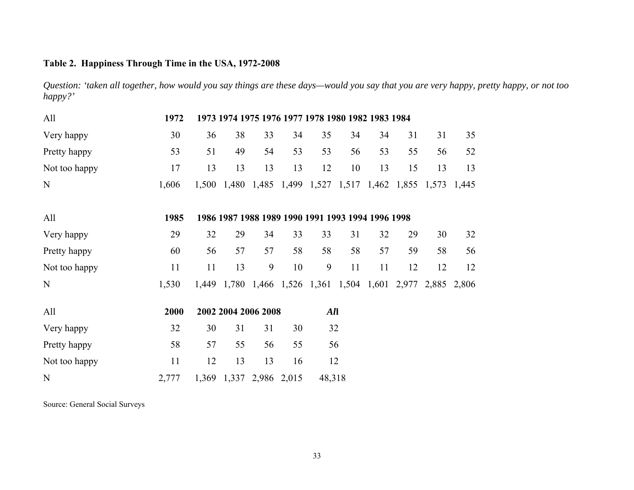# **Table 2. Happiness Through Time in the USA, 1972-2008**

*Question: 'taken all together, how would you say things are these days—would you say that you are very happy, pretty happy, or not too happy?'* 

| All           | 1972  |    |                         |    |    | 1973 1974 1975 1976 1977 1978 1980 1982 1983 1984           |    |    |    |    |       |
|---------------|-------|----|-------------------------|----|----|-------------------------------------------------------------|----|----|----|----|-------|
| Very happy    | 30    | 36 | 38                      | 33 | 34 | 35                                                          | 34 | 34 | 31 | 31 | 35    |
| Pretty happy  | 53    | 51 | 49                      | 54 | 53 | 53                                                          | 56 | 53 | 55 | 56 | 52    |
| Not too happy | 17    | 13 | 13                      | 13 | 13 | 12                                                          | 10 | 13 | 15 | 13 | 13    |
| N             | 1,606 |    |                         |    |    | 1,500 1,480 1,485 1,499 1,527 1,517 1,462 1,855 1,573       |    |    |    |    | 1,445 |
| All           | 1985  |    |                         |    |    | 1986 1987 1988 1989 1990 1991 1993 1994 1996 1998           |    |    |    |    |       |
| Very happy    | 29    | 32 | 29                      | 34 | 33 | 33                                                          | 31 | 32 | 29 | 30 | 32    |
| Pretty happy  | 60    | 56 | 57                      | 57 | 58 | 58                                                          | 58 | 57 | 59 | 58 | 56    |
| Not too happy | 11    | 11 | 13                      | 9  | 10 | 9                                                           | 11 | 11 | 12 | 12 | 12    |
| N             | 1,530 |    |                         |    |    | 1,449 1,780 1,466 1,526 1,361 1,504 1,601 2,977 2,885 2,806 |    |    |    |    |       |
| All           | 2000  |    | 2002 2004 2006 2008     |    |    | All                                                         |    |    |    |    |       |
| Very happy    | 32    | 30 | 31                      | 31 | 30 | 32                                                          |    |    |    |    |       |
| Pretty happy  | 58    | 57 | 55                      | 56 | 55 | 56                                                          |    |    |    |    |       |
| Not too happy | 11    | 12 | 13                      | 13 | 16 | 12                                                          |    |    |    |    |       |
| N             | 2,777 |    | 1,369 1,337 2,986 2,015 |    |    | 48,318                                                      |    |    |    |    |       |

Source: General Social Surveys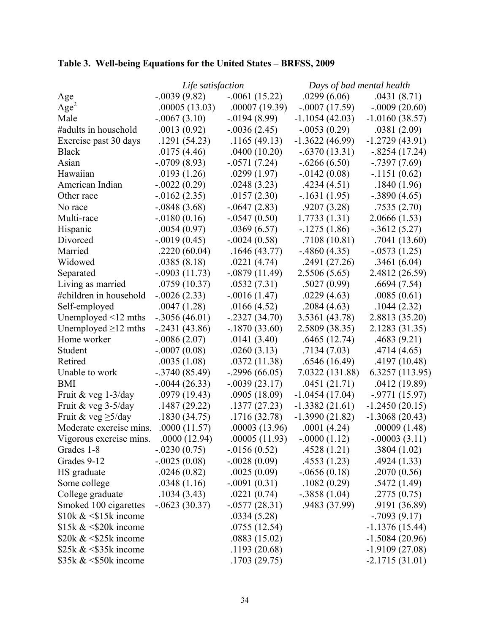|                           | Life satisfaction |                  | Days of bad mental health |                  |  |
|---------------------------|-------------------|------------------|---------------------------|------------------|--|
| Age                       | $-0.0039(9.82)$   | $-.0061(15.22)$  | .0299(6.06)               | .0431(8.71)      |  |
| Age <sup>2</sup>          | .00005(13.03)     | .00007(19.39)    | $-.0007(17.59)$           | $-.0009(20.60)$  |  |
| Male                      | $-.0067(3.10)$    | $-0.0194(8.99)$  | $-1.1054(42.03)$          | $-1.0160(38.57)$ |  |
| #adults in household      | .0013(0.92)       | $-0.0036(2.45)$  | $-0.0053(0.29)$           | .0381(2.09)      |  |
| Exercise past 30 days     | .1291(54.23)      | .1165(49.13)     | $-1.3622(46.99)$          | $-1.2729(43.91)$ |  |
| <b>Black</b>              | .0175(4.46)       | .0400(10.20)     | $-.6370(13.31)$           | $-.8254(17.24)$  |  |
| Asian                     | $-0.0709(8.93)$   | $-.0571(7.24)$   | $-.6266(6.50)$            | $-0.7397(7.69)$  |  |
| Hawaiian                  | .0193(1.26)       | .0299(1.97)      | $-0.0142(0.08)$           | $-.1151(0.62)$   |  |
| American Indian           | $-.0022(0.29)$    | .0248(3.23)      | .4234(4.51)               | .1840(1.96)      |  |
| Other race                | $-0.0162(2.35)$   | .0157(2.30)      | $-1631(1.95)$             | $-.3890(4.65)$   |  |
| No race                   | $-.0848(3.68)$    | $-0.0647(2.83)$  | .9207(3.28)               | .7535(2.70)      |  |
| Multi-race                | $-0180(0.16)$     | $-0.547(0.50)$   | 1.7733(1.31)              | 2.0666(1.53)     |  |
| Hispanic                  | .0054(0.97)       | .0369(6.57)      | $-1275(1.86)$             | $-0.3612(5.27)$  |  |
| Divorced                  | $-.0019(0.45)$    | $-.0024(0.58)$   | .7108(10.81)              | .7041(13.60)     |  |
| Married                   | .2220(60.04)      | .1646(43.77)     | $-4860(4.35)$             | $-0573(1.25)$    |  |
| Widowed                   | .0385(8.18)       | .0221(4.74)      | .2491 (27.26)             | .3461(6.04)      |  |
| Separated                 | $-.0903(11.73)$   | $-.0879(11.49)$  | 2.5506 (5.65)             | 2.4812 (26.59)   |  |
| Living as married         | .0759(10.37)      | .0532(7.31)      | .5027(0.99)               | .6694(7.54)      |  |
| #children in household    | $-.0026(2.33)$    | $-.0016(1.47)$   | .0229(4.63)               | .0085(0.61)      |  |
| Self-employed             | .0047(1.28)       | .0166(4.52)      | .2084(4.63)               | .1044(2.32)      |  |
| Unemployed $\leq$ 12 mths | $-.3056(46.01)$   | $-2327(34.70)$   | 3.5361 (43.78)            | 2.8813 (35.20)   |  |
| Unemployed $\geq$ 12 mths | $-0.2431(43.86)$  | $-1870(33.60)$   | 2.5809 (38.35)            | 2.1283 (31.35)   |  |
| Home worker               | $-.0086(2.07)$    | .0141(3.40)      | .6465(12.74)              | .4683(9.21)      |  |
| Student                   | $-.0007(0.08)$    | .0260(3.13)      | .7134(7.03)               | .4714(4.65)      |  |
| Retired                   | .0035(1.08)       | .0372(11.38)     | .6546(16.49)              | .4197(10.48)     |  |
| Unable to work            | $-.3740(85.49)$   | $-2996(66.05)$   | 7.0322 (131.88)           | 6.3257(113.95)   |  |
| <b>BMI</b>                | $-.0044(26.33)$   | $-0.0039(23.17)$ | .0451(21.71)              | .0412 (19.89)    |  |
| Fruit & veg 1-3/day       | .0979(19.43)      | .0905(18.09)     | $-1.0454(17.04)$          | $-.9771(15.97)$  |  |
| Fruit & veg 3-5/day       | .1487(29.22)      | .1377(27.23)     | $-1.3382(21.61)$          | $-1.2450(20.15)$ |  |
| Fruit & veg $\geq$ 5/day  | .1830(34.75)      | .1716(32.78)     | $-1.3990(21.82)$          | $-1.3068(20.43)$ |  |
| Moderate exercise mins.   | .0000(11.57)      | .00003(13.96)    | .0001(4.24)               | .00009(1.48)     |  |
| Vigorous exercise mins.   | .0000(12.94)      | .00005(11.93)    | $-.0000(1.12)$            | $-.00003(3.11)$  |  |
| Grades 1-8                | $-.0230(0.75)$    | $-0.0156(0.52)$  | .4528(1.21)               | .3804(1.02)      |  |
| Grades 9-12               | $-.0025(0.08)$    | $-.0028(0.09)$   | .4553(1.23)               | .4924(1.33)      |  |
| HS graduate               | .0246(0.82)       | .0025(0.09)      | $-0.0656(0.18)$           | .2070(0.56)      |  |
| Some college              | .0348(1.16)       | $-.0091(0.31)$   | .1082(0.29)               | .5472(1.49)      |  |
| College graduate          | .1034(3.43)       | .0221(0.74)      | $-.3858(1.04)$            | .2775(0.75)      |  |
| Smoked 100 cigarettes     | $-0623(30.37)$    | $-.0577(28.31)$  | .9483 (37.99)             | .9191 (36.89)    |  |
| $$10k \&  $15k$ income    |                   | .0334(5.28)      |                           | $-0.7093(9.17)$  |  |
| $$15k \& 520k$ income     |                   | .0755(12.54)     |                           | $-1.1376(15.44)$ |  |
| \$20 $k \< $25k$ income   |                   | .0883(15.02)     |                           | $-1.5084(20.96)$ |  |
| $$25k \&  $35k$ income    |                   | .1193(20.68)     |                           | $-1.9109(27.08)$ |  |
| $$35k \& 50k$ income      |                   | .1703(29.75)     |                           | $-2.1715(31.01)$ |  |

# **Table 3. Well-being Equations for the United States – BRFSS, 2009**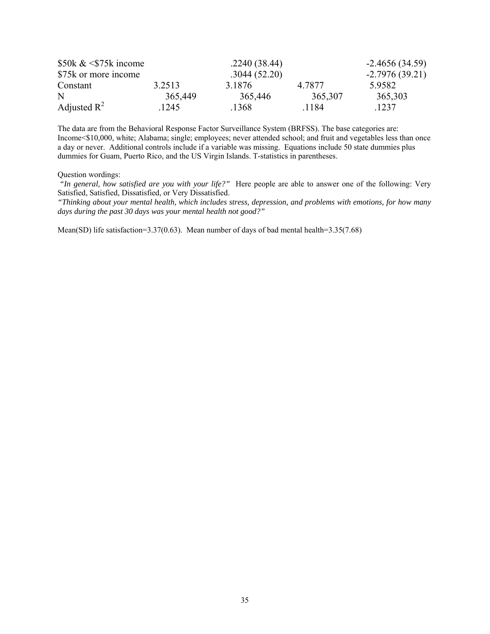| $$50k \& 575k$ income |         | $-2.4656(34.59)$ |         |                  |
|-----------------------|---------|------------------|---------|------------------|
| \$75k or more income  |         | .3044(52.20)     |         | $-2.7976(39.21)$ |
| Constant              | 3.2513  | 3 1876           | 4 7877  | 5.9582           |
| N                     | 365,449 | 365,446          | 365,307 | 365,303          |
| Adjusted $R^2$        | 1245    | .1368            | 1184    | 1237             |

The data are from the Behavioral Response Factor Surveillance System (BRFSS). The base categories are: Income<\$10,000, white; Alabama; single; employees; never attended school; and fruit and vegetables less than once a day or never. Additional controls include if a variable was missing. Equations include 50 state dummies plus dummies for Guam, Puerto Rico, and the US Virgin Islands. T-statistics in parentheses.

Question wordings:

 *"In general, how satisfied are you with your life?"* Here people are able to answer one of the following: Very Satisfied, Satisfied, Dissatisfied, or Very Dissatisfied.

*"Thinking about your mental health, which includes stress, depression, and problems with emotions, for how many days during the past 30 days was your mental health not good?"*

Mean(SD) life satisfaction=3.37(0.63). Mean number of days of bad mental health=3.35(7.68)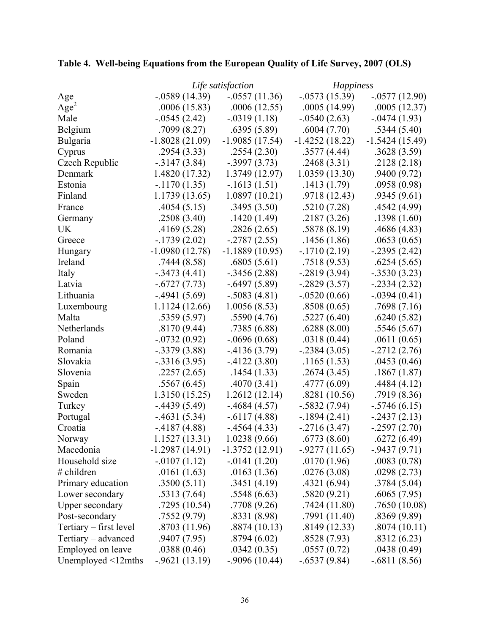|  |  | Table 4. Well-being Equations from the European Quality of Life Survey, 2007 (OLS) |  |
|--|--|------------------------------------------------------------------------------------|--|
|  |  |                                                                                    |  |

|                        | Life satisfaction |                  | <i>Happiness</i> |                  |  |
|------------------------|-------------------|------------------|------------------|------------------|--|
| Age                    | $-0.0589(14.39)$  | $-.0557(11.36)$  | $-0.0573(15.39)$ | $-.0577(12.90)$  |  |
| Age <sup>2</sup>       | .0006(15.83)      | .0006(12.55)     | .0005(14.99)     | .0005(12.37)     |  |
| Male                   | $-0.0545(2.42)$   | $-.0319(1.18)$   | $-0.0540(2.63)$  | $-0.0474(1.93)$  |  |
| Belgium                | .7099(8.27)       | .6395(5.89)      | .6004(7.70)      | .5344(5.40)      |  |
| Bulgaria               | $-1.8028(21.09)$  | $-1.9085(17.54)$ | $-1.4252(18.22)$ | $-1.5424(15.49)$ |  |
| Cyprus                 | .2954(3.33)       | .2554(2.30)      | .3577(4.44)      | .3628(3.59)      |  |
| Czech Republic         | $-3147(3.84)$     | $-.3997(3.73)$   | .2468(3.31)      | .2128(2.18)      |  |
| Denmark                | 1.4820 (17.32)    | 1.3749 (12.97)   | 1.0359(13.30)    | .9400(9.72)      |  |
| Estonia                | $-1170(1.35)$     | $-1613(1.51)$    | .1413(1.79)      | .0958(0.98)      |  |
| Finland                | 1.1739 (13.65)    | 1.0897(10.21)    | .9718 (12.43)    | .9345(9.61)      |  |
| France                 | .4054(5.15)       | .3495(3.50)      | .5210(7.28)      | .4542(4.99)      |  |
| Germany                | .2508(3.40)       | .1420(1.49)      | .2187(3.26)      | .1398(1.60)      |  |
| <b>UK</b>              | .4169(5.28)       | .2826(2.65)      | .5878(8.19)      | .4686 (4.83)     |  |
| Greece                 | $-1739(2.02)$     | $-2787(2.55)$    | .1456(1.86)      | .0653(0.65)      |  |
| Hungary                | $-1.0980(12.78)$  | $-1.1889(10.95)$ | $-1710(2.19)$    | $-0.2395(2.42)$  |  |
| Ireland                | .7444(8.58)       | .6805(5.61)      | .7518(9.53)      | .6254(5.65)      |  |
| Italy                  | $-.3473(4.41)$    | $-0.3456(2.88)$  | $-0.2819(3.94)$  | $-.3530(3.23)$   |  |
| Latvia                 | $-.6727(7.73)$    | $-.6497(5.89)$   | $-0.2829(3.57)$  | $-0.2334(2.32)$  |  |
| Lithuania              | $-4941(5.69)$     | $-.5083(4.81)$   | $-.0520(0.66)$   | $-.0394(0.41)$   |  |
| Luxembourg             | 1.1124 (12.66)    | 1.0056(8.53)     | .8508(0.65)      | .7698(7.16)      |  |
| Malta                  | .5359(5.97)       | .5590(4.76)      | .5227(6.40)      | .6240(5.82)      |  |
| Netherlands            | .8170(9.44)       | .7385(6.88)      | .6288(8.00)      | .5546(5.67)      |  |
| Poland                 | $-0732(0.92)$     | $-0.0696(0.68)$  | .0318(0.44)      | .0611(0.65)      |  |
| Romania                | $-.3379(3.88)$    | $-4136(3.79)$    | $-0.2384(3.05)$  | $-2712(2.76)$    |  |
| Slovakia               | $-0.3316(3.95)$   | $-4122(3.80)$    | .1165(1.53)      | .0453(0.46)      |  |
| Slovenia               | .2257(2.65)       | .1454(1.33)      | .2674(3.45)      | .1867(1.87)      |  |
| Spain                  | .5567(6.45)       | .4070(3.41)      | .4777(6.09)      | .4484(4.12)      |  |
| Sweden                 | 1.3150 (15.25)    | 1.2612(12.14)    | .8281(10.56)     | .7919 (8.36)     |  |
| Turkey                 | $-4439(5.49)$     | $-4684(4.57)$    | $-.5832(7.94)$   | $-.5746(6.15)$   |  |
| Portugal               | $-4631(5.34)$     | $-.6117(4.88)$   | $-1894(2.41)$    | $-2437(2.13)$    |  |
| Croatia                | $-4187(4.88)$     | $-4564(4.33)$    | $-2716(3.47)$    | $-0.2597(2.70)$  |  |
| Norway                 | 1.1527 (13.31)    | 1.0238 (9.66)    | .6773(8.60)      | .6272(6.49)      |  |
| Macedonia              | $-1.2987(14.91)$  | $-1.3752(12.91)$ | $-9277(11.65)$   | $-9437(9.71)$    |  |
| Household size         | $-.0107(1.12)$    | $-0.0141(1.20)$  | .0170(1.96)      | .0083(0.78)      |  |
| # children             | .0161(1.63)       | .0163(1.36)      | .0276(3.08)      | .0298(2.73)      |  |
| Primary education      | .3500(5.11)       | .3451(4.19)      | .4321(6.94)      | .3784(5.04)      |  |
| Lower secondary        | .5313(7.64)       | .5548(6.63)      | .5820(9.21)      | .6065(7.95)      |  |
| <b>Upper secondary</b> | .7295(10.54)      | .7708(9.26)      | .7424(11.80)     | .7650 (10.08)    |  |
| Post-secondary         | .7552(9.79)       | .8331(8.98)      | .7991 (11.40)    | .8369(9.89)      |  |
| Tertiary – first level | .8703(11.96)      | .8874(10.13)     | .8149(12.33)     | .8074(10.11)     |  |
| Tertiary – advanced    | .9407(7.95)       | .8794(6.02)      | .8528(7.93)      | .8312(6.23)      |  |
| Employed on leave      | .0388(0.46)       | .0342(0.35)      | .0557(0.72)      | .0438(0.49)      |  |
| Unemployed <12mths     | $-0.9621(13.19)$  | $-9096(10.44)$   | $-.6537(9.84)$   | $-.6811(8.56)$   |  |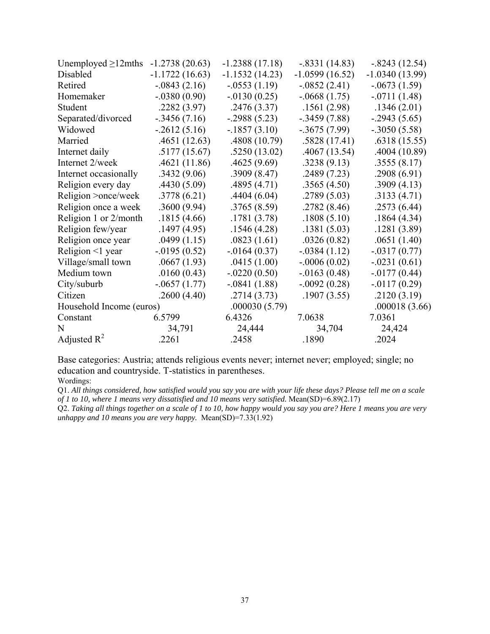| $-1.2738(20.63)$         | $-1.2388(17.18)$ | $-.8331(14.83)$  | $-.8243(12.54)$  |
|--------------------------|------------------|------------------|------------------|
| $-1.1722(16.63)$         | $-1.1532(14.23)$ | $-1.0599(16.52)$ | $-1.0340(13.99)$ |
| $-0.0843(2.16)$          | $-.0553(1.19)$   | $-.0852(2.41)$   | $-0673(1.59)$    |
| $-.0380(0.90)$           | $-0130(0.25)$    | $-0.0668(1.75)$  | $-.0711(1.48)$   |
| .2282(3.97)              | .2476(3.37)      | .1561(2.98)      | .1346(2.01)      |
| $-0.3456(7.16)$          | $-0.2988(5.23)$  | $-.3459(7.88)$   | $-.2943(5.65)$   |
| $-2612(5.16)$            | $-.1857(3.10)$   | $-0.3675(7.99)$  | $-.3050(5.58)$   |
| .4651(12.63)             | .4808 (10.79)    | .5828(17.41)     | .6318(15.55)     |
| .5177(15.67)             | .5250(13.02)     | .4067(13.54)     | .4004(10.89)     |
| .4621(11.86)             | .4625(9.69)      | .3238(9.13)      | .3555(8.17)      |
| .3432(9.06)              | .3909(8.47)      | .2489(7.23)      | .2908(6.91)      |
| .4430(5.09)              | .4895(4.71)      | .3565(4.50)      | .3909(4.13)      |
| .3778(6.21)              | .4404(6.04)      | .2789(5.03)      | .3133(4.71)      |
| .3600(9.94)              | .3765(8.59)      | .2782(8.46)      | .2573(6.44)      |
| .1815(4.66)              | .1781(3.78)      | .1808(5.10)      | .1864(4.34)      |
| .1497(4.95)              | .1546(4.28)      | .1381(5.03)      | .1281(3.89)      |
| .0499(1.15)              | .0823(1.61)      | .0326(0.82)      | .0651(1.40)      |
| $-0.0195(0.52)$          | $-0.0164(0.37)$  | $-.0384(1.12)$   | $-.0317(0.77)$   |
| .0667(1.93)              | .0415(1.00)      | $-.0006(0.02)$   | $-.0231(0.61)$   |
| .0160(0.43)              | $-.0220(0.50)$   | $-0.0163(0.48)$  | $-0177(0.44)$    |
| $-.0657(1.77)$           | $-.0841(1.88)$   | $-.0092(0.28)$   | $-0117(0.29)$    |
| .2600(4.40)              | .2714(3.73)      | .1907(3.55)      | .2120(3.19)      |
| Household Income (euros) | .000030(5.79)    |                  | .000018(3.66)    |
| 6.5799                   | 6.4326           | 7.0638           | 7.0361           |
| 34,791                   | 24,444           | 34,704           | 24,424           |
| .2261                    | .2458            | .1890            | .2024            |
|                          |                  |                  |                  |

Base categories: Austria; attends religious events never; internet never; employed; single; no education and countryside. T-statistics in parentheses.

Wordings:

Q1. *All things considered, how satisfied would you say you are with your life these days? Please tell me on a scale of 1 to 10, where 1 means very dissatisfied and 10 means very satisfied.* Mean(SD)=6.89(2.17)

Q2. *Taking all things together on a scale of 1 to 10, how happy would you say you are? Here 1 means you are very unhappy and 10 means you are very happy.* Mean(SD)=7.33(1.92)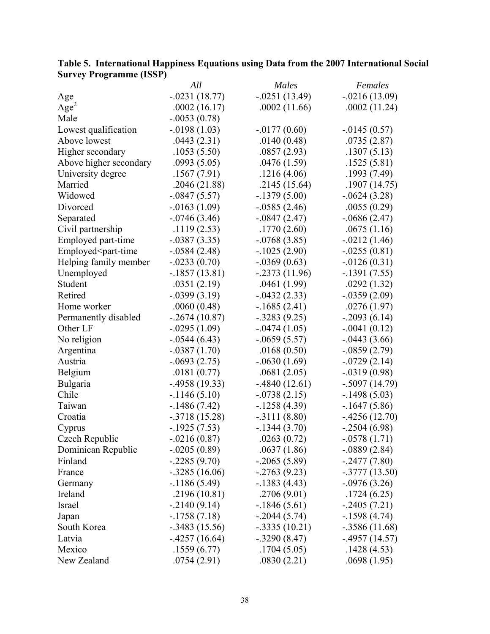| $10$ $\mu$ and $(100)$                                                                                                                          | All              | Males            | Females          |
|-------------------------------------------------------------------------------------------------------------------------------------------------|------------------|------------------|------------------|
| Age                                                                                                                                             | $-.0231(18.77)$  | $-.0251(13.49)$  | $-0.0216(13.09)$ |
| Age <sup>2</sup>                                                                                                                                | .0002(16.17)     | .0002(11.66)     | .0002(11.24)     |
| Male                                                                                                                                            | $-.0053(0.78)$   |                  |                  |
| Lowest qualification                                                                                                                            | $-0.0198(1.03)$  | $-0177(0.60)$    | $-0.0145(0.57)$  |
| Above lowest                                                                                                                                    | .0443(2.31)      | .0140(0.48)      | .0735(2.87)      |
| Higher secondary                                                                                                                                | .1053(5.50)      | .0857(2.93)      | .1307(5.13)      |
| Above higher secondary                                                                                                                          | .0993(5.05)      | .0476(1.59)      | .1525(5.81)      |
| University degree                                                                                                                               | .1567(7.91)      | .1216(4.06)      | .1993(7.49)      |
| Married                                                                                                                                         | .2046(21.88)     | .2145(15.64)     | .1907(14.75)     |
| Widowed                                                                                                                                         | $-.0847(5.57)$   | $-1379(5.00)$    | $-0624(3.28)$    |
| Divorced                                                                                                                                        | $-0.0163(1.09)$  | $-0.0585(2.46)$  | .0055(0.29)      |
| Separated                                                                                                                                       | $-0.0746(3.46)$  | $-0.0847(2.47)$  | $-0686(2.47)$    |
| Civil partnership                                                                                                                               | .1119(2.53)      | .1770(2.60)      | .0675(1.16)      |
| Employed part-time                                                                                                                              | $-.0387(3.35)$   | $-0.0768(3.85)$  | $-0.0212(1.46)$  |
| Employed <part-time< td=""><td><math>-0.0584(2.48)</math></td><td><math>-1025(2.90)</math></td><td><math>-0.0255(0.81)</math></td></part-time<> | $-0.0584(2.48)$  | $-1025(2.90)$    | $-0.0255(0.81)$  |
| Helping family member                                                                                                                           | $-.0233(0.70)$   | $-0.0369(0.63)$  | $-.0126(0.31)$   |
| Unemployed                                                                                                                                      | $-.1857(13.81)$  | $-0.2373(11.96)$ | $-1391(7.55)$    |
| Student                                                                                                                                         | .0351(2.19)      | .0461(1.99)      | .0292(1.32)      |
| Retired                                                                                                                                         | $-0.0399(3.19)$  | $-0.0432(2.33)$  | $-0.0359(2.09)$  |
| Home worker                                                                                                                                     | .0060(0.48)      | $-1685(2.41)$    | .0276(1.97)      |
| Permanently disabled                                                                                                                            | $-0.2674(10.87)$ | $-.3283(9.25)$   | $-0.2093(6.14)$  |
| Other LF                                                                                                                                        | $-.0295(1.09)$   | $-0.0474(1.05)$  | $-.0041(0.12)$   |
| No religion                                                                                                                                     | $-0.0544(6.43)$  | $-.0659(5.57)$   | $-0.0443(3.66)$  |
| Argentina                                                                                                                                       | $-.0387(1.70)$   | .0168(0.50)      | $-0.0859(2.79)$  |
| Austria                                                                                                                                         | $-0.0693(2.75)$  | $-0.0630(1.69)$  | $-0729(2.14)$    |
| Belgium                                                                                                                                         | .0181(0.77)      | .0681(2.05)      | $-0.0319(0.98)$  |
| Bulgaria                                                                                                                                        | $-4958(19.33)$   | $-.4840(12.61)$  | $-.5097(14.79)$  |
| Chile                                                                                                                                           | $-1146(5.10)$    | $-0.0738(2.15)$  | $-.1498(5.03)$   |
| Taiwan                                                                                                                                          | $-1486(7.42)$    | $-1258(4.39)$    | $-1647(5.86)$    |
| Croatia                                                                                                                                         | $-.3718(15.28)$  | $-.3111(8.80)$   | $-4256(12.70)$   |
| Cyprus                                                                                                                                          | $-1925(7.53)$    | $-1344(3.70)$    | $-2504(6.98)$    |
| Czech Republic                                                                                                                                  | $-.0216(0.87)$   | .0263(0.72)      | $-.0578(1.71)$   |
| Dominican Republic                                                                                                                              | $-.0205(0.89)$   | .0637(1.86)      | $-0889(2.84)$    |
| Finland                                                                                                                                         | $-0.2285(9.70)$  | $-0.2065(5.89)$  | $-2477(7.80)$    |
| France                                                                                                                                          | $-.3285(16.06)$  | $-2763(9.23)$    | $-.3777(13.50)$  |
| Germany                                                                                                                                         | $-1186(5.49)$    | $-1383(4.43)$    | $-0.0976(3.26)$  |
| Ireland                                                                                                                                         | .2196(10.81)     | .2706(9.01)      | .1724(6.25)      |
| Israel                                                                                                                                          | $-2140(9.14)$    | $-1846(5.61)$    | $-2405(7.21)$    |
| Japan                                                                                                                                           | $-1758(7.18)$    | $-.2044(5.74)$   | $-1598(4.74)$    |
| South Korea                                                                                                                                     | $-.3483(15.56)$  | $-.3335(10.21)$  | $-.3586(11.68)$  |
| Latvia                                                                                                                                          | $-4257(16.64)$   | $-.3290(8.47)$   | $-4957(14.57)$   |
| Mexico                                                                                                                                          | .1559(6.77)      | .1704(5.05)      | .1428(4.53)      |
| New Zealand                                                                                                                                     | .0754(2.91)      | .0830(2.21)      | .0698(1.95)      |

| Table 5. International Happiness Equations using Data from the 2007 International Social |  |  |
|------------------------------------------------------------------------------------------|--|--|
| <b>Survey Programme (ISSP)</b>                                                           |  |  |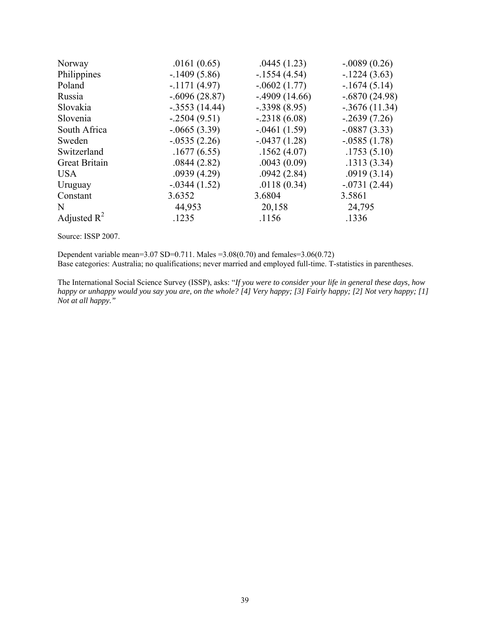| .0161(0.65)     | .0445(1.23)    | $-.0089(0.26)$   |
|-----------------|----------------|------------------|
| $-1409(5.86)$   | $-1554(4.54)$  | $-1224(3.63)$    |
| $-1171(4.97)$   | $-.0602(1.77)$ | $-1674(5.14)$    |
| $-.6096(28.87)$ | $-4909(14.66)$ | $-.6870(24.98)$  |
| $-.3553(14.44)$ | $-.3398(8.95)$ | $-0.3676(11.34)$ |
| $-2504(9.51)$   | $-.2318(6.08)$ | $-2639(7.26)$    |
| $-0.0665(3.39)$ | $-.0461(1.59)$ | $-.0887(3.33)$   |
| $-0.0535(2.26)$ | $-.0437(1.28)$ | $-0.0585(1.78)$  |
| .1677(6.55)     | .1562(4.07)    | .1753(5.10)      |
| .0844(2.82)     | .0043(0.09)    | .1313(3.34)      |
| .0939(4.29)     | .0942(2.84)    | .0919(3.14)      |
| $-0.0344(1.52)$ | .0118(0.34)    | $-0731(2.44)$    |
| 3.6352          | 3.6804         | 3.5861           |
| 44,953          | 20,158         | 24,795           |
| .1235           | .1156          | .1336            |
|                 |                |                  |

Source: ISSP 2007.

Dependent variable mean= $3.07$  SD= $0.711$ . Males = $3.08(0.70)$  and females= $3.06(0.72)$ Base categories: Australia; no qualifications; never married and employed full-time. T-statistics in parentheses.

The International Social Science Survey (ISSP), asks: "*If you were to consider your life in general these days, how happy or unhappy would you say you are, on the whole? [4] Very happy; [3] Fairly happy; [2] Not very happy; [1] Not at all happy."*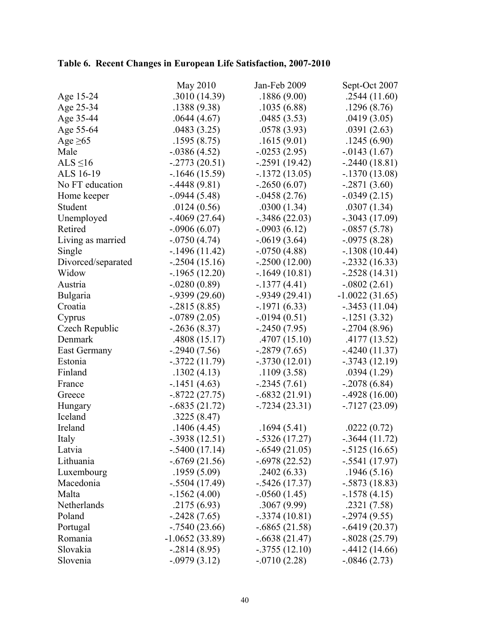# **Table 6. Recent Changes in European Life Satisfaction, 2007-2010**

|                     | May 2010         | Jan-Feb 2009     | Sept-Oct 2007    |
|---------------------|------------------|------------------|------------------|
| Age 15-24           | .3010(14.39)     | .1886(9.00)      | .2544(11.60)     |
| Age 25-34           | .1388(9.38)      | .1035(6.88)      | .1296(8.76)      |
| Age 35-44           | .0644(4.67)      | .0485(3.53)      | .0419(3.05)      |
| Age 55-64           | .0483(3.25)      | .0578(3.93)      | .0391(2.63)      |
| Age $\geq 65$       | .1595(8.75)      | .1615(9.01)      | .1245(6.90)      |
| Male                | $-.0386(4.52)$   | $-0.0253(2.95)$  | $-0.0143(1.67)$  |
| ALS $\leq$ 16       | $-2773(20.51)$   | $-0.2591(19.42)$ | $-2440(18.81)$   |
| ALS 16-19           | $-1646(15.59)$   | $-1372(13.05)$   | $-.1370(13.08)$  |
| No FT education     | $-4448(9.81)$    | $-2650(6.07)$    | $-.2871(3.60)$   |
| Home keeper         | $-0.0944(5.48)$  | $-0.0458(2.76)$  | $-0.0349(2.15)$  |
| Student             | .0124(0.56)      | .0300(1.34)      | .0307(1.34)      |
| Unemployed          | $-0.4069(27.64)$ | $-0.3486(22.03)$ | $-0.3043(17.09)$ |
| Retired             | $-.0906(6.07)$   | $-.0903(6.12)$   | $-.0857(5.78)$   |
| Living as married   | $-0750(4.74)$    | $-0619(3.64)$    | $-.0975(8.28)$   |
| Single              | $-1496(11.42)$   | $-.0750(4.88)$   | $-.1308(10.44)$  |
| Divorced/separated  | $-0.2504(15.16)$ | $-0.2500(12.00)$ | $-.2332(16.33)$  |
| Widow               | $-1965(12.20)$   | $-1649(10.81)$   | $-0.2528(14.31)$ |
| Austria             | $-.0280(0.89)$   | $-.1377(4.41)$   | $-.0802(2.61)$   |
| Bulgaria            | $-0.9399(29.60)$ | $-0.9349(29.41)$ | $-1.0022(31.65)$ |
| Croatia             | $-0.2815(8.85)$  | $-1971(6.33)$    | $-.3453(11.04)$  |
| Cyprus              | $-0.0789(2.05)$  | $-0.0194(0.51)$  | $-1251(3.32)$    |
| Czech Republic      | $-2636(8.37)$    | $-2450(7.95)$    | $-2704(8.96)$    |
| Denmark             | .4808(15.17)     | .4707(15.10)     | .4177(13.52)     |
| <b>East Germany</b> | $-2940(7.56)$    | $-0.2879(7.65)$  | $-.4240(11.37)$  |
| Estonia             | $-.3722(11.79)$  | $-.3730(12.01)$  | $-.3743(12.19)$  |
| Finland             | .1302(4.13)      | .1109(3.58)      | .0394(1.29)      |
| France              | $-1451(4.63)$    | $-0.2345(7.61)$  | $-.2078(6.84)$   |
| Greece              | $-.8722(27.75)$  | $-.6832(21.91)$  | $-.4928(16.00)$  |
| Hungary             | $-.6835(21.72)$  | $-0.7234(23.31)$ | $-0.7127(23.09)$ |
| Iceland             | .3225(8.47)      |                  |                  |
| Ireland             | .1406(4.45)      | .1694(5.41)      | .0222(0.72)      |
| Italy               | $-.3938(12.51)$  | $-.5326(17.27)$  | $-.3644(11.72)$  |
| Latvia              | $-.5400(17.14)$  | $-.6549(21.05)$  | $-.5125(16.65)$  |
| Lithuania           | $-.6769(21.56)$  | $-.6978(22.52)$  | $-.5541(17.97)$  |
| Luxembourg          | .1959(5.09)      | .2402(6.33)      | .1946(5.16)      |
| Macedonia           | $-.5504(17.49)$  | $-.5426(17.37)$  | $-.5873(18.83)$  |
| Malta               | $-1562(4.00)$    | $-0.0560(1.45)$  | $-1578(4.15)$    |
| Netherlands         | .2175(6.93)      | .3067(9.99)      | .2321(7.58)      |
| Poland              | $-2428(7.65)$    | $-.3374(10.81)$  | $-0.2974(9.55)$  |
| Portugal            | $-0.7540(23.66)$ | $-.6865(21.58)$  | $-.6419(20.37)$  |
| Romania             | $-1.0652(33.89)$ | $-.6638(21.47)$  | $-.8028(25.79)$  |
| Slovakia            | $-.2814(8.95)$   | $-.3755(12.10)$  | $-4412(14.66)$   |
| Slovenia            | $-0.0979(3.12)$  | $-.0710(2.28)$   | $-0.0846(2.73)$  |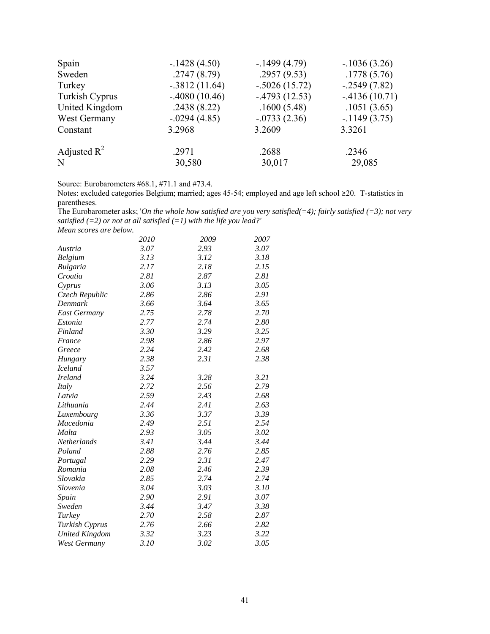| Spain          | $-1428(4.50)$   | $-1499(4.79)$   | $-1036(3.26)$  |
|----------------|-----------------|-----------------|----------------|
| Sweden         | .2747(8.79)     | .2957(9.53)     | .1778(5.76)    |
| Turkey         | $-.3812(11.64)$ | $-.5026(15.72)$ | $-2549(7.82)$  |
| Turkish Cyprus | $-4080(10.46)$  | $-4793(12.53)$  | $-4136(10.71)$ |
| United Kingdom | .2438(8.22)     | .1600(5.48)     | .1051(3.65)    |
| West Germany   | $-.0294(4.85)$  | $-0733(2.36)$   | $-1149(3.75)$  |
| Constant       | 3.2968          | 3.2609          | 3.3261         |
| Adjusted $R^2$ | .2971           | .2688           | .2346          |
| N              | 30,580          | 30,017          | 29,085         |

Source: Eurobarometers #68.1, #71.1 and #73.4.

Notes: excluded categories Belgium; married; ages 45-54; employed and age left school ≥20. T-statistics in parentheses.

The Eurobarometer asks; '*On the whole how satisfied are you very satisfied(=4); fairly satisfied (=3); not very satisfied (=2) or not at all satisfied (=1) with the life you lead?'* 

*Mean scores are below.* 

|                       | 2010 | 2009 | 2007 |  |
|-----------------------|------|------|------|--|
| Austria               | 3.07 | 2.93 | 3.07 |  |
| <b>Belgium</b>        | 3.13 | 3.12 | 3.18 |  |
| <b>Bulgaria</b>       | 2.17 | 2.18 | 2.15 |  |
| Croatia               | 2.81 | 2.87 | 2.81 |  |
| Cyprus                | 3.06 | 3.13 | 3.05 |  |
| Czech Republic        | 2.86 | 2.86 | 2.91 |  |
| Denmark               | 3.66 | 3.64 | 3.65 |  |
| <b>East Germany</b>   | 2.75 | 2.78 | 2.70 |  |
| Estonia               | 2.77 | 2.74 | 2.80 |  |
| Finland               | 3.30 | 3.29 | 3.25 |  |
| France                | 2.98 | 2.86 | 2.97 |  |
| Greece                | 2.24 | 2.42 | 2.68 |  |
| Hungary               | 2.38 | 2.31 | 2.38 |  |
| <b>Iceland</b>        | 3.57 |      |      |  |
| <b>Ireland</b>        | 3.24 | 3.28 | 3.21 |  |
| Italy                 | 2.72 | 2.56 | 2.79 |  |
| Latvia                | 2.59 | 2.43 | 2.68 |  |
| Lithuania             | 2.44 | 2.41 | 2.63 |  |
| Luxembourg            | 3.36 | 3.37 | 3.39 |  |
| Macedonia             | 2.49 | 2.51 | 2.54 |  |
| Malta                 | 2.93 | 3.05 | 3.02 |  |
| <b>Netherlands</b>    | 3.41 | 3.44 | 3.44 |  |
| Poland                | 2.88 | 2.76 | 2.85 |  |
| Portugal              | 2.29 | 2.31 | 2.47 |  |
| Romania               | 2.08 | 2.46 | 2.39 |  |
| Slovakia              | 2.85 | 2.74 | 2.74 |  |
| Slovenia              | 3.04 | 3.03 | 3.10 |  |
| Spain                 | 2.90 | 2.91 | 3.07 |  |
| Sweden                | 3.44 | 3.47 | 3.38 |  |
| Turkey                | 2.70 | 2.58 | 2.87 |  |
| Turkish Cyprus        | 2.76 | 2.66 | 2.82 |  |
| <b>United Kingdom</b> | 3.32 | 3.23 | 3.22 |  |
| <b>West Germany</b>   | 3.10 | 3.02 | 3.05 |  |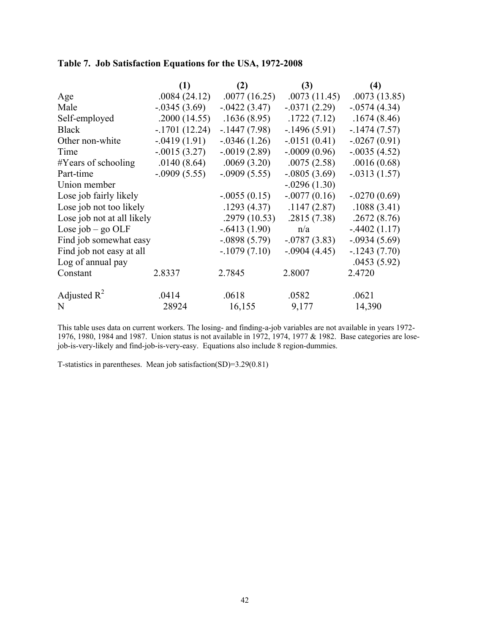# **Table 7. Job Satisfaction Equations for the USA, 1972-2008**

|                            | (1)             | (2)             | (3)            | (4)             |  |  |
|----------------------------|-----------------|-----------------|----------------|-----------------|--|--|
| Age                        | .0084(24.12)    | .0077(16.25)    | .0073(11.45)   | .0073(13.85)    |  |  |
| Male                       | $-0.0345(3.69)$ | $-0.0422(3.47)$ | $-.0371(2.29)$ | $-0.0574(4.34)$ |  |  |
| Self-employed              | .2000(14.55)    | .1636(8.95)     | .1722(7.12)    | .1674(8.46)     |  |  |
| <b>Black</b>               | $-1701(12.24)$  | $-1447(7.98)$   | $-1496(5.91)$  | $-1474(7.57)$   |  |  |
| Other non-white            | $-0.0419(1.91)$ | $-0.0346(1.26)$ | $-0151(0.41)$  | $-.0267(0.91)$  |  |  |
| Time                       | $-.0015(3.27)$  | $-0.0019(2.89)$ | $-.0009(0.96)$ | $-.0035(4.52)$  |  |  |
| $#Y$ ears of schooling     | .0140(8.64)     | .0069(3.20)     | .0075(2.58)    | .0016(0.68)     |  |  |
| Part-time                  | $-.0909(5.55)$  | $-0.0909(5.55)$ | $-.0805(3.69)$ | $-.0313(1.57)$  |  |  |
| Union member               |                 |                 | $-.0296(1.30)$ |                 |  |  |
| Lose job fairly likely     |                 | $-0.055(0.15)$  | $-.0077(0.16)$ | $-.0270(0.69)$  |  |  |
| Lose job not too likely    |                 | .1293(4.37)     | .1147(2.87)    | .1088(3.41)     |  |  |
| Lose job not at all likely |                 | .2979(10.53)    | .2815(7.38)    | .2672(8.76)     |  |  |
| Lose job – go OLF          |                 | $-.6413(1.90)$  | n/a            | $-4402(1.17)$   |  |  |
| Find job somewhat easy     |                 | $-.0898(5.79)$  | $-.0787(3.83)$ | $-.0934(5.69)$  |  |  |
| Find job not easy at all   |                 | $-1079(7.10)$   | $-.0904(4.45)$ | $-1243(7.70)$   |  |  |
| Log of annual pay          |                 |                 |                | .0453(5.92)     |  |  |
| Constant                   | 2.8337          | 2.7845          | 2.8007         | 2.4720          |  |  |
| Adjusted $R^2$             | .0414           | .0618           | .0582          | .0621           |  |  |
| N                          | 28924           | 16,155          | 9,177          | 14,390          |  |  |

This table uses data on current workers. The losing- and finding-a-job variables are not available in years 1972- 1976, 1980, 1984 and 1987. Union status is not available in 1972, 1974, 1977 & 1982. Base categories are losejob-is-very-likely and find-job-is-very-easy. Equations also include 8 region-dummies.

T-statistics in parentheses. Mean job satisfaction(SD)=3.29(0.81)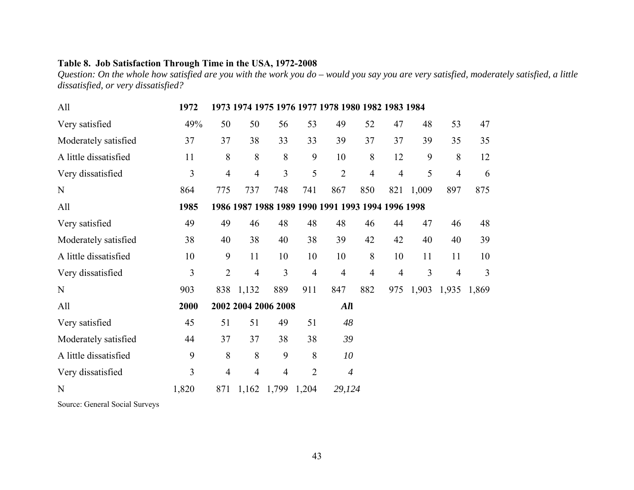## **Table 8. Job Satisfaction Through Time in the USA, 1972-2008**

*Question: On the whole how satisfied are you with the work you do – would you say you are very satisfied, moderately satisfied, a little dissatisfied, or very dissatisfied?* 

| All                   | 1972  |                |                     |                |                | 1973 1974 1975 1976 1977 1978 1980 1982 1983 1984 |                |                |       |                |       |
|-----------------------|-------|----------------|---------------------|----------------|----------------|---------------------------------------------------|----------------|----------------|-------|----------------|-------|
| Very satisfied        | 49%   | 50             | 50                  | 56             | 53             | 49                                                | 52             | 47             | 48    | 53             | 47    |
| Moderately satisfied  | 37    | 37             | 38                  | 33             | 33             | 39                                                | 37             | 37             | 39    | 35             | 35    |
| A little dissatisfied | 11    | 8              | 8                   | 8              | 9              | 10                                                | 8              | 12             | 9     | 8              | 12    |
| Very dissatisfied     | 3     | $\overline{4}$ | $\overline{4}$      | 3              | 5              | $\overline{2}$                                    | $\overline{4}$ | $\overline{4}$ | 5     | $\overline{4}$ | 6     |
| N                     | 864   | 775            | 737                 | 748            | 741            | 867                                               | 850            | 821            | 1,009 | 897            | 875   |
| All                   | 1985  |                |                     |                |                | 1986 1987 1988 1989 1990 1991 1993 1994 1996 1998 |                |                |       |                |       |
| Very satisfied        | 49    | 49             | 46                  | 48             | 48             | 48                                                | 46             | 44             | 47    | 46             | 48    |
| Moderately satisfied  | 38    | 40             | 38                  | 40             | 38             | 39                                                | 42             | 42             | 40    | 40             | 39    |
| A little dissatisfied | 10    | 9              | 11                  | 10             | 10             | 10                                                | 8              | 10             | 11    | 11             | 10    |
| Very dissatisfied     | 3     | $\overline{2}$ | $\overline{4}$      | $\overline{3}$ | $\overline{4}$ | $\overline{4}$                                    | $\overline{4}$ | 4              | 3     | $\overline{4}$ | 3     |
| N                     | 903   | 838            | 1,132               | 889            | 911            | 847                                               | 882            | 975            | 1,903 | 1,935          | 1,869 |
| All                   | 2000  |                | 2002 2004 2006 2008 |                |                | All                                               |                |                |       |                |       |
| Very satisfied        | 45    | 51             | 51                  | 49             | 51             | 48                                                |                |                |       |                |       |
| Moderately satisfied  | 44    | 37             | 37                  | 38             | 38             | 39                                                |                |                |       |                |       |
| A little dissatisfied | 9     | 8              | 8                   | 9              | 8              | 10                                                |                |                |       |                |       |
| Very dissatisfied     | 3     | 4              | $\overline{4}$      | $\overline{4}$ | $\overline{2}$ | $\boldsymbol{4}$                                  |                |                |       |                |       |
| N                     | 1,820 | 871            | 1,162               | 1,799          | 1,204          | 29,124                                            |                |                |       |                |       |

Source: General Social Surveys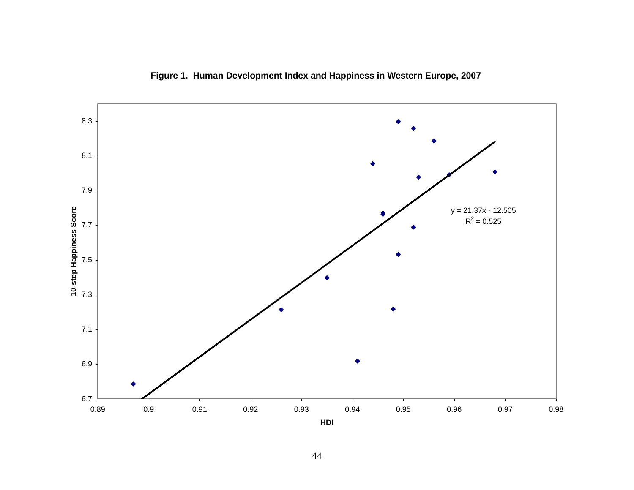

**Figure 1. Human Development Index and Happiness in Western Europe, 2007**